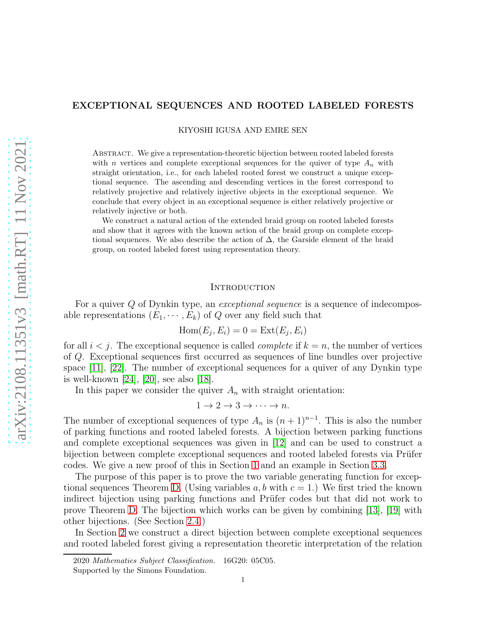## EXCEPTIONAL SEQUENCES AND ROOTED LABELED FORESTS

KIYOSHI IGUSA AND EMRE SEN

Abstract. We give a representation-theoretic bijection between rooted labeled forests with n vertices and complete exceptional sequences for the quiver of type  $A_n$  with straight orientation, i.e., for each labeled rooted forest we construct a unique exceptional sequence. The ascending and descending vertices in the forest correspond to relatively projective and relatively injective objects in the exceptional sequence. We conclude that every object in an exceptional sequence is either relatively projective or relatively injective or both.

We construct a natural action of the extended braid group on rooted labeled forests and show that it agrees with the known action of the braid group on complete exceptional sequences. We also describe the action of  $\Delta$ , the Garside element of the braid group, on rooted labeled forest using representation theory.

### **INTRODUCTION**

For a quiver Q of Dynkin type, an *exceptional sequence* is a sequence of indecomposable representations  $(E_1, \dots, E_k)$  of Q over any field such that

$$
Hom(E_j, E_i) = 0 = Ext(E_j, E_i)
$$

for all  $i < j$ . The exceptional sequence is called *complete* if  $k = n$ , the number of vertices of Q. Exceptional sequences first occurred as sequences of line bundles over projective space [\[11\]](#page-27-0), [\[22\]](#page-27-1). The number of exceptional sequences for a quiver of any Dynkin type is well-known [\[24\]](#page-27-2), [\[20\]](#page-27-3), see also [\[18\]](#page-27-4).

In this paper we consider the quiver  $A_n$  with straight orientation:

$$
1 \to 2 \to 3 \to \cdots \to n.
$$

The number of exceptional sequences of type  $A_n$  is  $(n+1)^{n-1}$ . This is also the number of parking functions and rooted labeled forests. A bijection between parking functions and complete exceptional sequences was given in [\[12\]](#page-27-5) and can be used to construct a bijection between complete exceptional sequences and rooted labeled forests via Prüfer codes. We give a new proof of this in Section [1](#page-2-0) and an example in Section [3.3.](#page-15-0)

The purpose of this paper is to prove the two variable generating function for excep-tional sequences Theorem [D.](#page-1-0) (Using variables a, b with  $c = 1$ .) We first tried the known indirect bijection using parking functions and Prüfer codes but that did not work to prove Theorem [D.](#page-1-0) The bijection which works can be given by combining [\[13\]](#page-27-6), [\[19\]](#page-27-7) with other bijections. (See Section [2.4.](#page-10-0))

In Section [2](#page-3-0) we construct a direct bijection between complete exceptional sequences and rooted labeled forest giving a representation theoretic interpretation of the relation

<sup>2020</sup> Mathematics Subject Classification. 16G20: 05C05.

Supported by the Simons Foundation.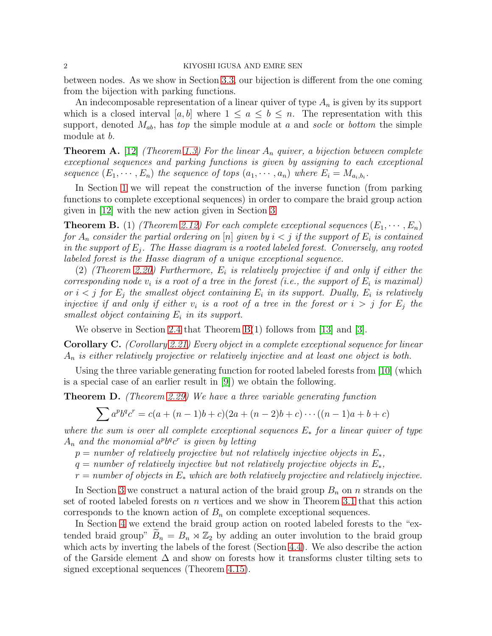#### 2 KIYOSHI IGUSA AND EMRE SEN

between nodes. As we show in Section [3.3,](#page-15-0) our bijection is different from the one coming from the bijection with parking functions.

An indecomposable representation of a linear quiver of type  $A_n$  is given by its support which is a closed interval [a, b] where  $1 \le a \le b \le n$ . The representation with this support, denoted Mab, has *top* the simple module at a and *socle* or *bottom* the simple module at b.

<span id="page-1-2"></span>Theorem A. [\[12\]](#page-27-5) *(Theorem [1.3\)](#page-2-1) For the linear* A<sup>n</sup> *quiver, a bijection between complete exceptional sequences and parking functions is given by assigning to each exceptional* sequence  $(E_1, \dots, E_n)$  the sequence of tops  $(a_1, \dots, a_n)$  where  $E_i = M_{a_i, b_i}$ .

In Section [1](#page-2-0) we will repeat the construction of the inverse function (from parking functions to complete exceptional sequences) in order to compare the braid group action given in [\[12\]](#page-27-5) with the new action given in Section [3](#page-12-0)

<span id="page-1-1"></span>**Theorem B.** (1) *(Theorem [2.12\)](#page-6-0)* For each complete exceptional sequences  $(E_1, \dots, E_n)$  $for\ A_n\ consider\ the\ partial\ ordering\ on\ [n]\ given\ by\ i < j\ if\ the\ support\ of\ E_i\ is\ contained\$  $\emph{in the support of}$   $E_j$ *. The Hasse diagram is a rooted labeled forest. Conversely, any rooted labeled forest is the Hasse diagram of a unique exceptional sequence.*

(2) *(Theorem [2.20\)](#page-8-0) Furthermore,* E<sup>i</sup> *is relatively projective if and only if either the corresponding node*  $v_i$  *is a root of a tree in the forest (i.e., the support of*  $E_i$  *is maximal) or*  $i < j$  *for*  $E_j$  *the smallest object containing*  $E_i$  *in its support. Dually,*  $E_i$  *is relatively injective if and only if either*  $v_i$  *is a root of a tree in the forest or*  $i > j$  *for*  $E_j$  *the smallest object containing* E<sup>i</sup> *in its support.*

We observe in Section [2.4](#page-10-0) that Theorem [B\(](#page-1-1)1) follows from [\[13\]](#page-27-6) and [\[3\]](#page-26-0).

<span id="page-1-3"></span>Corollary C. *(Corollary [2.21\)](#page-8-1) Every object in a complete exceptional sequence for linear* A<sup>n</sup> *is either relatively projective or relatively injective and at least one object is both.*

Using the three variable generating function for rooted labeled forests from [\[10\]](#page-26-1) (which is a special case of an earlier result in [\[9\]](#page-26-2)) we obtain the following.

<span id="page-1-0"></span>Theorem D. *(Theorem [2.29\)](#page-12-1) We have a three variable generating function*

$$
\sum a^{p}b^{q}c^{r} = c(a + (n - 1)b + c)(2a + (n - 2)b + c) \cdots ((n - 1)a + b + c)
$$

*where the sum is over all complete exceptional sequences* E<sup>∗</sup> *for a linear quiver of type*  $A_n$  and the monomial  $a^p b^q c^r$  is given by letting

- $p = number of relatively projective but not relatively injective objects in  $E_*$ ,$
- $q = number of relatively injective but not relatively projective objects in  $E_*$ ,$
- r = *number of objects in* E<sup>∗</sup> *which are both relatively projective and relatively injective.*

In Section [3](#page-12-0) we construct a natural action of the braid group  $B_n$  on n strands on the set of rooted labeled forests on  $n$  vertices and we show in Theorem [3.1](#page-13-0) that this action corresponds to the known action of  $B_n$  on complete exceptional sequences.

In Section [4](#page-17-0) we extend the braid group action on rooted labeled forests to the "extended braid group"  $B_n = B_n \rtimes \mathbb{Z}_2$  by adding an outer involution to the braid group which acts by inverting the labels of the forest (Section [4.4\)](#page-25-0). We also describe the action of the Garside element  $\Delta$  and show on forests how it transforms cluster tilting sets to signed exceptional sequences (Theorem [4.15\)](#page-24-0).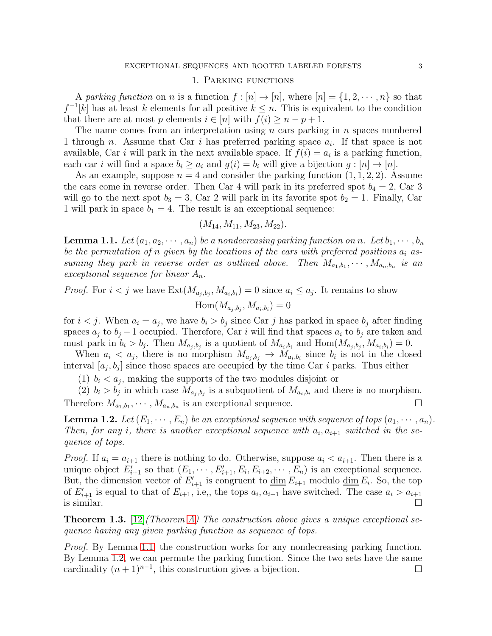#### 1. Parking functions

<span id="page-2-0"></span>A *parking function* on *n* is a function  $f : [n] \to [n]$ , where  $[n] = \{1, 2, \dots, n\}$  so that  $f^{-1}[k]$  has at least k elements for all positive  $k \leq n$ . This is equivalent to the condition that there are at most p elements  $i \in [n]$  with  $f(i) \geq n - p + 1$ .

The name comes from an interpretation using  $n$  cars parking in  $n$  spaces numbered 1 through *n*. Assume that Car *i* has preferred parking space  $a_i$ . If that space is not available, Car *i* will park in the next available space. If  $f(i) = a_i$  is a parking function, each car *i* will find a space  $b_i \geq a_i$  and  $g(i) = b_i$  will give a bijection  $g : [n] \to [n]$ .

As an example, suppose  $n = 4$  and consider the parking function  $(1, 1, 2, 2)$ . Assume the cars come in reverse order. Then Car 4 will park in its preferred spot  $b_4 = 2$ , Car 3 will go to the next spot  $b_3 = 3$ , Car 2 will park in its favorite spot  $b_2 = 1$ . Finally, Car 1 will park in space  $b_1 = 4$ . The result is an exceptional sequence:

$$
(M_{14}, M_{11}, M_{23}, M_{22}).
$$

<span id="page-2-2"></span>**Lemma 1.1.** Let  $(a_1, a_2, \dots, a_n)$  be a nondecreasing parking function on n. Let  $b_1, \dots, b_n$ *be the permutation of* n *given by the locations of the cars with preferred positions* a<sup>i</sup> *as*suming they park in reverse order as outlined above. Then  $M_{a_1,b_1}, \cdots, M_{a_n,b_n}$  is an *exceptional sequence for linear*  $A_n$ .

# *Proof.* For  $i < j$  we have  $\text{Ext}(M_{a_j,b_j}, M_{a_i,b_i}) = 0$  since  $a_i \leq a_j$ . It remains to show  $\text{Hom}(M_{a_j,b_j},M_{a_i,b_i})=0$

for  $i < j$ . When  $a_i = a_j$ , we have  $b_i > b_j$  since Car j has parked in space  $b_j$  after finding spaces  $a_j$  to  $b_j - 1$  occupied. Therefore, Car i will find that spaces  $a_i$  to  $b_j$  are taken and must park in  $b_i > b_j$ . Then  $M_{a_j,b_j}$  is a quotient of  $M_{a_i,b_i}$  and  $Hom(M_{a_j,b_j}, M_{a_i,b_i}) = 0$ .

When  $a_i < a_j$ , there is no morphism  $M_{a_j, b_j} \to M_{a_i, b_i}$  since  $b_i$  is not in the closed interval  $[a_j, b_j]$  since those spaces are occupied by the time Car i parks. Thus either

(1)  $b_i < a_j$ , making the supports of the two modules disjoint or

(2)  $b_i > b_j$  in which case  $M_{a_j,b_j}$  is a subquotient of  $M_{a_i,b_i}$  and there is no morphism. Therefore  $M_{a_1,b_1}, \cdots, M_{a_n,b_n}$  is an exceptional sequence.

<span id="page-2-3"></span>**Lemma 1.2.** Let  $(E_1, \dots, E_n)$  be an exceptional sequence with sequence of tops  $(a_1, \dots, a_n)$ . Then, for any *i*, there is another exceptional sequence with  $a_i$ ,  $a_{i+1}$  switched in the se*quence of tops.*

*Proof.* If  $a_i = a_{i+1}$  there is nothing to do. Otherwise, suppose  $a_i < a_{i+1}$ . Then there is a unique object  $E'_{i+1}$  so that  $(E_1, \dots, E'_{i+1}, E_i, E_{i+2}, \dots, E_n)$  is an exceptional sequence. But, the dimension vector of  $E'_{i+1}$  is congruent to  $\underline{\dim} E_{i+1}$  modulo  $\underline{\dim} E_i$ . So, the top of  $E'_{i+1}$  is equal to that of  $E_{i+1}$ , i.e., the tops  $a_i, a_{i+1}$  have switched. The case  $a_i > a_{i+1}$ is similar.  $\Box$ 

<span id="page-2-1"></span>Theorem 1.3. [\[12\]](#page-27-5)*(Theorem [A\)](#page-1-2) The construction above gives a unique exceptional sequence having any given parking function as sequence of tops.*

*Proof.* By Lemma [1.1,](#page-2-2) the construction works for any nondecreasing parking function. By Lemma [1.2,](#page-2-3) we can permute the parking function. Since the two sets have the same cardinality  $(n + 1)^{n-1}$ , this construction gives a bijection. □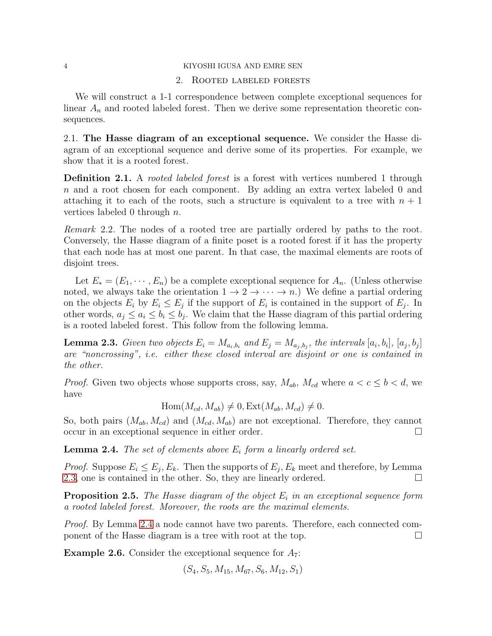#### <span id="page-3-0"></span>4 KIYOSHI IGUSA AND EMRE SEN

## 2. Rooted labeled forests

We will construct a 1-1 correspondence between complete exceptional sequences for linear  $A_n$  and rooted labeled forest. Then we derive some representation theoretic consequences.

2.1. The Hasse diagram of an exceptional sequence. We consider the Hasse diagram of an exceptional sequence and derive some of its properties. For example, we show that it is a rooted forest.

Definition 2.1. A *rooted labeled forest* is a forest with vertices numbered 1 through n and a root chosen for each component. By adding an extra vertex labeled 0 and attaching it to each of the roots, such a structure is equivalent to a tree with  $n + 1$ vertices labeled 0 through  $n$ .

*Remark* 2.2*.* The nodes of a rooted tree are partially ordered by paths to the root. Conversely, the Hasse diagram of a finite poset is a rooted forest if it has the property that each node has at most one parent. In that case, the maximal elements are roots of disjoint trees.

Let  $E_* = (E_1, \dots, E_n)$  be a complete exceptional sequence for  $A_n$ . (Unless otherwise noted, we always take the orientation  $1 \rightarrow 2 \rightarrow \cdots \rightarrow n$ .) We define a partial ordering on the objects  $E_i$  by  $E_i \le E_j$  if the support of  $E_i$  is contained in the support of  $E_j$ . In other words,  $a_j \leq a_i \leq b_i \leq b_j$ . We claim that the Hasse diagram of this partial ordering is a rooted labeled forest. This follow from the following lemma.

<span id="page-3-1"></span>**Lemma 2.3.** *Given two objects*  $E_i = M_{a_i, b_i}$  and  $E_j = M_{a_j, b_j}$ , the intervals  $[a_i, b_i]$ ,  $[a_j, b_j]$ *are "noncrossing", i.e. either these closed interval are disjoint or one is contained in the other.*

*Proof.* Given two objects whose supports cross, say,  $M_{ab}$ ,  $M_{cd}$  where  $a < c \leq b < d$ , we have

$$
Hom(M_{cd}, M_{ab}) \neq 0, Ext(M_{ab}, M_{cd}) \neq 0.
$$

So, both pairs  $(M_{ab}, M_{cd})$  and  $(M_{cd}, M_{ab})$  are not exceptional. Therefore, they cannot occur in an exceptional sequence in either order.

<span id="page-3-2"></span>Lemma 2.4. The set of elements above  $E_i$  form a linearly ordered set.

*Proof.* Suppose  $E_i \leq E_j, E_k$ . Then the supports of  $E_j, E_k$  meet and therefore, by Lemma [2.3,](#page-3-1) one is contained in the other. So, they are linearly ordered.  $\Box$ 

<span id="page-3-3"></span>**Proposition 2.5.** The Hasse diagram of the object  $E_i$  in an exceptional sequence form *a rooted labeled forest. Moreover, the roots are the maximal elements.*

*Proof.* By Lemma [2.4](#page-3-2) a node cannot have two parents. Therefore, each connected component of the Hasse diagram is a tree with root at the top.

**Example 2.6.** Consider the exceptional sequence for  $A_7$ :

$$
(S_4, S_5, M_{15}, M_{67}, S_6, M_{12}, S_1)
$$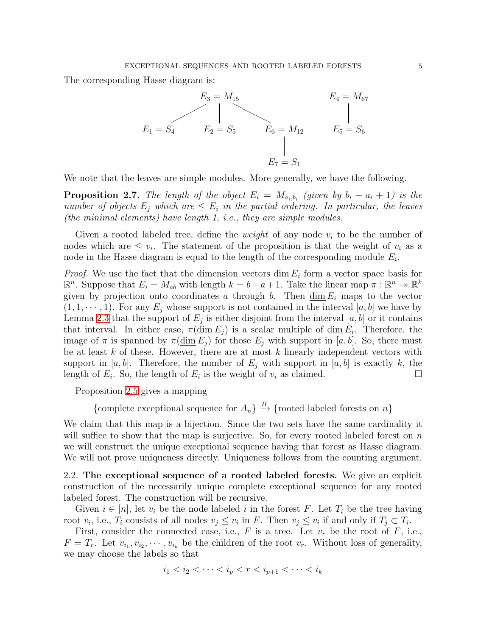The corresponding Hasse diagram is:



We note that the leaves are simple modules. More generally, we have the following.

**Proposition 2.7.** The length of the object  $E_i = M_{a_i,b_i}$  (given by  $b_i - a_i + 1$ ) is the *number of objects*  $E_j$  which are  $\leq E_i$  in the partial ordering. In particular, the leaves *(the minimal elements) have length 1, i.e., they are simple modules.*

Given a rooted labeled tree, define the *weight* of any node  $v_i$  to be the number of nodes which are  $\leq v_i$ . The statement of the proposition is that the weight of  $v_i$  as a node in the Hasse diagram is equal to the length of the corresponding module  $E_i$ .

*Proof.* We use the fact that the dimension vectors  $\underline{\dim} E_i$  form a vector space basis for  $\mathbb{R}^n$ . Suppose that  $E_i = M_{ab}$  with length  $k = b - a + \overline{1}$ . Take the linear map  $\pi : \mathbb{R}^n \to \mathbb{R}^k$ given by projection onto coordinates a through b. Then  $\dim E_i$  maps to the vector  $(1, 1, \dots, 1)$ . For any  $E_i$  whose support is not contained in the interval [a, b] we have by Lemma [2.3](#page-3-1) that the support of  $E_j$  is either disjoint from the interval  $[a, b]$  or it contains that interval. In either case,  $\pi(\underline{\dim} E_j)$  is a scalar multiple of  $\underline{\dim} E_i$ . Therefore, the image of  $\pi$  is spanned by  $\pi(\underline{\dim} E_i)$  for those  $E_i$  with support in [a, b]. So, there must be at least  $k$  of these. However, there are at most  $k$  linearly independent vectors with support in [a, b]. Therefore, the number of  $E_i$  with support in [a, b] is exactly k, the length of  $E_i$ . So, the length of  $E_i$  is the weight of  $v_i$  as claimed.

Proposition [2.5](#page-3-3) gives a mapping

{complete exceptional sequence for  $A_n$ }  $\stackrel{H}{\rightarrow}$  {rooted labeled forests on n}

We claim that this map is a bijection. Since the two sets have the same cardinality it will suffice to show that the map is surjective. So, for every rooted labeled forest on  $n$ we will construct the unique exceptional sequence having that forest as Hasse diagram. We will not prove uniqueness directly. Uniqueness follows from the counting argument.

2.2. The exceptional sequence of a rooted labeled forests. We give an explicit construction of the necessarily unique complete exceptional sequence for any rooted labeled forest. The construction will be recursive.

Given  $i \in [n]$ , let  $v_i$  be the node labeled i in the forest F. Let  $T_i$  be the tree having root  $v_i$ , i.e.,  $T_i$  consists of all nodes  $v_j \leq v_i$  in F. Then  $v_j \leq v_i$  if and only if  $T_j \subset T_i$ .

First, consider the connected case, i.e.,  $F$  is a tree. Let  $v_r$  be the root of  $F$ , i.e.,  $F = T_r$ . Let  $v_{i_1}, v_{i_2}, \dots, v_{i_k}$  be the children of the root  $v_r$ . Without loss of generality, we may choose the labels so that

$$
i_1 < i_2 < \cdots < i_p < r < i_{p+1} < \cdots < i_k
$$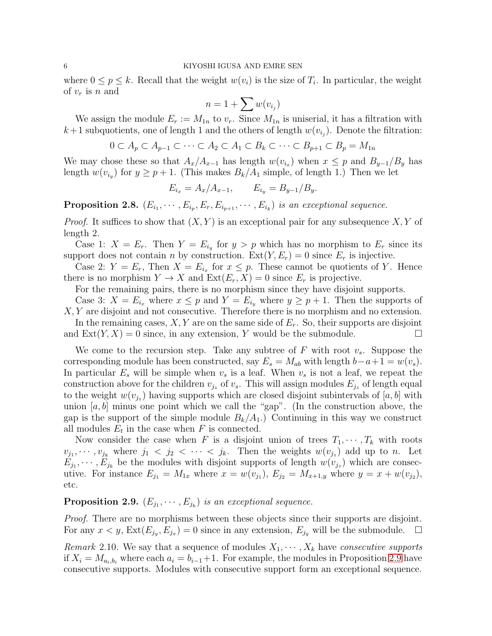where  $0 \leq p \leq k$ . Recall that the weight  $w(v_i)$  is the size of  $T_i$ . In particular, the weight of  $v_r$  is n and

$$
n=1+\sum w(v_{i_j})
$$

We assign the module  $E_r := M_{1n}$  to  $v_r$ . Since  $M_{1n}$  is uniserial, it has a filtration with  $k+1$  subquotients, one of length 1 and the others of length  $w(v_{i_j})$ . Denote the filtration:

$$
0 \subset A_p \subset A_{p-1} \subset \cdots \subset A_2 \subset A_1 \subset B_k \subset \cdots \subset B_{p+1} \subset B_p = M_{1n}
$$

We may chose these so that  $A_x/A_{x-1}$  has length  $w(v_{i_x})$  when  $x \leq p$  and  $B_{y-1}/B_y$  has length  $w(v_{i_y})$  for  $y \ge p+1$ . (This makes  $B_k/A_1$  simple, of length 1.) Then we let

$$
E_{i_x} = A_x / A_{x-1}, \qquad E_{i_y} = B_{y-1} / B_y.
$$

**Proposition 2.8.**  $(E_{i_1}, \dots, E_{i_p}, E_r, E_{i_{p+1}}, \dots, E_{i_k})$  *is an exceptional sequence.* 

*Proof.* It suffices to show that  $(X, Y)$  is an exceptional pair for any subsequence  $X, Y$  of length 2.

Case 1:  $X = E_r$ . Then  $Y = E_{i_y}$  for  $y > p$  which has no morphism to  $E_r$  since its support does not contain n by construction.  $Ext(Y, E_r) = 0$  since  $E_r$  is injective.

Case 2:  $Y = E_r$ , Then  $X = E_{i_x}$  for  $x \leq p$ . These cannot be quotients of Y. Hence there is no morphism  $Y \to X$  and  $\text{Ext}(E_r, X) = 0$  since  $E_r$  is projective.

For the remaining pairs, there is no morphism since they have disjoint supports.

Case 3:  $X = E_{i_x}$  where  $x \leq p$  and  $Y = E_{i_y}$  where  $y \geq p+1$ . Then the supports of X, Y are disjoint and not consecutive. Therefore there is no morphism and no extension.

In the remaining cases,  $X, Y$  are on the same side of  $E_r$ . So, their supports are disjoint and  $\text{Ext}(Y, X) = 0$  since, in any extension, Y would be the submodule.

We come to the recursion step. Take any subtree of F with root  $v_s$ . Suppose the corresponding module has been constructed, say  $E_s = M_{ab}$  with length  $b-a+1 = w(v_s)$ . In particular  $E_s$  will be simple when  $v_s$  is a leaf. When  $v_s$  is not a leaf, we repeat the construction above for the children  $v_{i_z}$  of  $v_s$ . This will assign modules  $E_{i_z}$  of length equal to the weight  $w(v_{j_z})$  having supports which are closed disjoint subintervals of  $[a, b]$  with union  $[a, b]$  minus one point which we call the "gap". (In the construction above, the gap is the support of the simple module  $B_k/A_1$ .) Continuing in this way we construct all modules  $E_t$  in the case when F is connected.

Now consider the case when F is a disjoint union of trees  $T_1, \dots, T_k$  with roots  $v_{j_1}, \dots, v_{j_k}$  where  $j_1 \leq j_2 \leq \dots \leq j_k$ . Then the weights  $w(v_{j_z})$  add up to n. Let  $E_{j_1}, \dots, E_{j_k}$  be the modules with disjoint supports of length  $w(v_{j_z})$  which are consecutive. For instance  $E_{j_1} = M_{1x}$  where  $x = w(v_{j_1}), E_{j_2} = M_{x+1,y}$  where  $y = x + w(v_{j_2}),$ etc.

## <span id="page-5-0"></span>**Proposition 2.9.**  $(E_{j_1}, \dots, E_{j_k})$  *is an exceptional sequence.*

*Proof.* There are no morphisms between these objects since their supports are disjoint. For any  $x < y$ ,  $\text{Ext}(E_{j_y}, E_{j_x}) = 0$  since in any extension,  $E_{j_y}$  will be the submodule.  $\Box$ 

<span id="page-5-1"></span>*Remark* 2.10. We say that a sequence of modules  $X_1, \dots, X_k$  have *consecutive supports* if  $X_i = M_{a_i, b_i}$  where each  $a_i = b_{i-1}+1$ . For example, the modules in Proposition [2.9](#page-5-0) have consecutive supports. Modules with consecutive support form an exceptional sequence.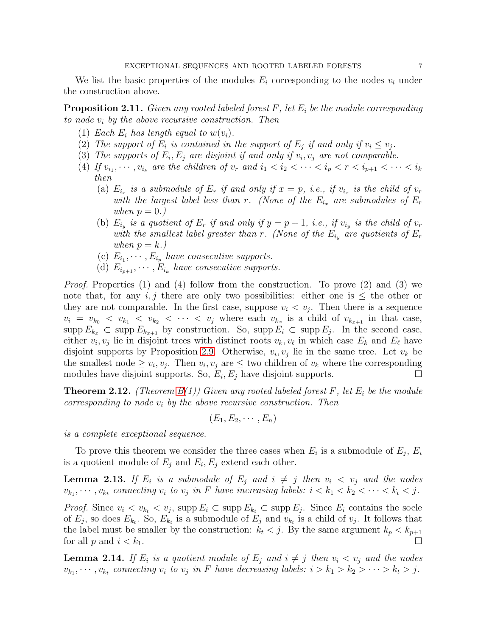We list the basic properties of the modules  $E_i$  corresponding to the nodes  $v_i$  under the construction above.

<span id="page-6-2"></span>Proposition 2.11. *Given any rooted labeled forest* F*, let* E<sup>i</sup> *be the module corresponding to node* v<sup>i</sup> *by the above recursive construction. Then*

- (1) *Each*  $E_i$  *has length equal to*  $w(v_i)$ *.*
- (2) The support of  $E_i$  is contained in the support of  $E_j$  if and only if  $v_i \leq v_j$ .
- (3) The supports of  $E_i, E_j$  are disjoint if and only if  $v_i, v_j$  are not comparable.
- (4) If  $v_{i_1}, \dots, v_{i_k}$  are the children of  $v_r$  and  $i_1 < i_2 < \dots < i_p < r < i_{p+1} < \dots < i_k$ *then*
	- (a)  $E_{i_x}$  is a submodule of  $E_r$  if and only if  $x = p$ , i.e., if  $v_{i_x}$  is the child of  $v_r$ *with the largest label less than* r. (None of the  $E_{i_x}$  are submodules of  $E_r$ ) *when*  $p = 0.$ *)*
	- (b)  $E_{i_y}$  is a quotient of  $E_r$  if and only if  $y = p + 1$ , i.e., if  $v_{i_y}$  is the child of  $v_r$ *with the smallest label greater than* r. (None of the  $E_{i_y}$  are quotients of  $E_r$ *when*  $p = k$ *.*)
	- (c)  $E_{i_1}, \cdots, E_{i_p}$  have consecutive supports.
	- (d)  $E_{i_{p+1}}, \cdots, E_{i_k}$  have consecutive supports.

*Proof.* Properties (1) and (4) follow from the construction. To prove (2) and (3) we note that, for any i, j there are only two possibilities: either one is  $\leq$  the other or they are not comparable. In the first case, suppose  $v_i < v_j$ . Then there is a sequence  $v_i = v_{k_0} < v_{k_1} < v_{k_2} < \cdots < v_j$  where each  $v_{k_x}$  is a child of  $v_{k_{x+1}}$  in that case, supp  $E_{k_x} \subset \text{supp } E_{k_{x+1}}$  by construction. So, supp  $E_i \subset \text{supp } E_j$ . In the second case, either  $v_i, v_j$  lie in disjoint trees with distinct roots  $v_k, v_\ell$  in which case  $E_k$  and  $E_\ell$  have disjoint supports by Proposition [2.9.](#page-5-0) Otherwise,  $v_i, v_j$  lie in the same tree. Let  $v_k$  be the smallest node  $\geq v_i, v_j$ . Then  $v_i, v_j$  are  $\leq$  two children of  $v_k$  where the corresponding modules have disjoint supports. So,  $E_i, E_j$  have disjoint supports.

<span id="page-6-0"></span>Theorem 2.12. *(Theorem [B\(](#page-1-1)1)) Given any rooted labeled forest* F*, let* E<sup>i</sup> *be the module corresponding to node* v<sup>i</sup> *by the above recursive construction. Then*

 $(E_1, E_2, \cdots, E_n)$ 

*is a complete exceptional sequence.*

To prove this theorem we consider the three cases when  $E_i$  is a submodule of  $E_j$ ,  $E_i$ is a quotient module of  $E_j$  and  $E_i, E_j$  extend each other.

<span id="page-6-1"></span>**Lemma 2.13.** If  $E_i$  is a submodule of  $E_j$  and  $i \neq j$  then  $v_i < v_j$  and the nodes  $v_{k_1}, \dots, v_{k_t}$  connecting  $v_i$  to  $v_j$  in F have increasing labels:  $i < k_1 < k_2 < \dots < k_t < j$ .

*Proof.* Since  $v_i < v_{k_t} < v_j$ , supp  $E_i \subset \text{supp } E_{k_t} \subset \text{supp } E_j$ . Since  $E_i$  contains the socle of  $E_j$ , so does  $E_{k_t}$ . So,  $E_{k_t}$  is a submodule of  $E_j$  and  $v_{k_t}$  is a child of  $v_j$ . It follows that the label must be smaller by the construction:  $k_t < j$ . By the same argument  $k_p < k_{p+1}$ for all  $p$  and  $i < k_1$ .

<span id="page-6-3"></span>**Lemma 2.14.** If  $E_i$  is a quotient module of  $E_j$  and  $i \neq j$  then  $v_i < v_j$  and the nodes  $v_{k_1}, \dots, v_{k_t}$  connecting  $v_i$  to  $v_j$  in F have decreasing labels:  $i > k_1 > k_2 > \dots > k_t > j$ .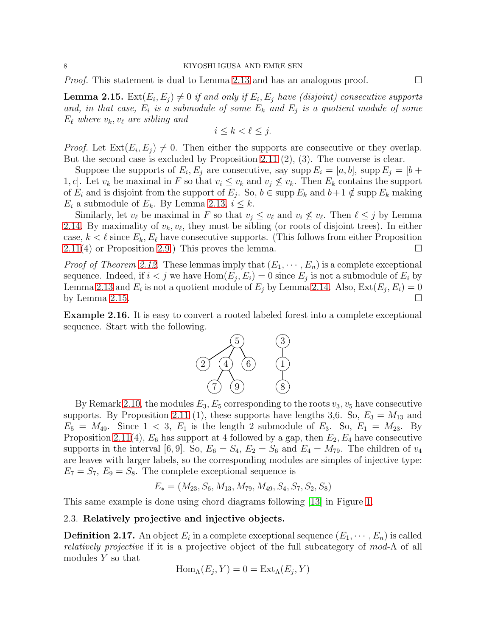*Proof.* This statement is dual to Lemma [2.13](#page-6-1) and has an analogous proof.  $\Box$ 

<span id="page-7-0"></span>**Lemma 2.15.**  $\text{Ext}(E_i, E_j) \neq 0$  if and only if  $E_i, E_j$  have (disjoint) consecutive supports and, in that case,  $E_i$  is a submodule of some  $E_k$  and  $E_j$  is a quotient module of some  $E_{\ell}$  where  $v_k, v_{\ell}$  are sibling and

$$
i \leq k < \ell \leq j.
$$

*Proof.* Let  $\text{Ext}(E_i, E_j) \neq 0$ . Then either the supports are consecutive or they overlap. But the second case is excluded by Proposition [2.11](#page-6-2) (2), (3). The converse is clear.

Suppose the supports of  $E_i, E_j$  are consecutive, say supp  $E_i = [a, b]$ , supp  $E_j = [b + b]$ 1, c]. Let  $v_k$  be maximal in F so that  $v_i \leq v_k$  and  $v_j \nleq v_k$ . Then  $E_k$  contains the support of  $E_i$  and is disjoint from the support of  $E_j$ . So,  $b \in \text{supp } E_k$  and  $b+1 \notin \text{supp } E_k$  making  $E_i$  a submodule of  $E_k$ . By Lemma [2.13,](#page-6-1)  $i \leq k$ .

Similarly, let  $v_{\ell}$  be maximal in F so that  $v_j \leq v_{\ell}$  and  $v_i \nleq v_{\ell}$ . Then  $\ell \leq j$  by Lemma [2.14.](#page-6-3) By maximality of  $v_k, v_\ell$ , they must be sibling (or roots of disjoint trees). In either case,  $k < \ell$  since  $E_k, E_\ell$  have consecutive supports. (This follows from either Proposition  $2.11(4)$  $2.11(4)$  or Proposition [2.9.](#page-5-0)) This proves the lemma.

*Proof of Theorem [2.12.](#page-6-0)* These lemmas imply that  $(E_1, \dots, E_n)$  is a complete exceptional sequence. Indeed, if  $i < j$  we have  $Hom(E_j, E_i) = 0$  since  $E_j$  is not a submodule of  $E_i$  by Lemma [2.13](#page-6-1) and  $E_i$  is not a quotient module of  $E_j$  by Lemma [2.14.](#page-6-3) Also,  $\text{Ext}(E_j, E_i) = 0$ by Lemma [2.15.](#page-7-0)  $\Box$ 

<span id="page-7-1"></span>Example 2.16. It is easy to convert a rooted labeled forest into a complete exceptional sequence. Start with the following.



By Remark [2.10,](#page-5-1) the modules  $E_3, E_5$  corresponding to the roots  $v_3, v_5$  have consecutive supports. By Proposition [2.11](#page-6-2) (1), these supports have lengths 3,6. So,  $E_3 = M_{13}$  and  $E_5 = M_{49}$ . Since  $1 < 3$ ,  $E_1$  is the length 2 submodule of  $E_3$ . So,  $E_1 = M_{23}$ . By Proposition [2.11\(](#page-6-2)4),  $E_6$  has support at 4 followed by a gap, then  $E_2, E_4$  have consecutive supports in the interval [6, 9]. So,  $E_6 = S_4$ ,  $E_2 = S_6$  and  $E_4 = M_{79}$ . The children of  $v_4$ are leaves with larger labels, so the corresponding modules are simples of injective type:  $E_7 = S_7$ ,  $E_9 = S_8$ . The complete exceptional sequence is

$$
E_* = (M_{23}, S_6, M_{13}, M_{79}, M_{49}, S_4, S_7, S_2, S_8)
$$

This same example is done using chord diagrams following [\[13\]](#page-27-6) in Figure [1.](#page-10-1)

## 2.3. Relatively projective and injective objects.

**Definition 2.17.** An object  $E_i$  in a complete exceptional sequence  $(E_1, \cdots, E_n)$  is called *relatively projective* if it is a projective object of the full subcategory of mod-Λ of all modules Y so that

$$
\operatorname{Hom}_{\Lambda}(E_j, Y) = 0 = \operatorname{Ext}_{\Lambda}(E_j, Y)
$$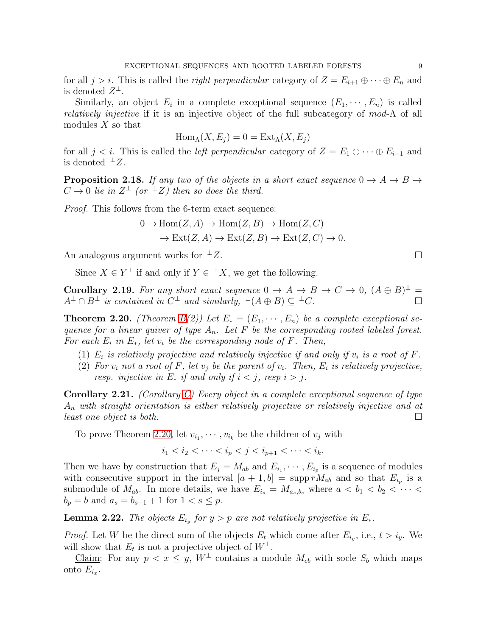for all  $j > i$ . This is called the *right perpendicular* category of  $Z = E_{i+1} \oplus \cdots \oplus E_n$  and is denoted  $Z^{\perp}$ .

Similarly, an object  $E_i$  in a complete exceptional sequence  $(E_1, \dots, E_n)$  is called *relatively injective* if it is an injective object of the full subcategory of  $mod-\Lambda$  of all modules  $X$  so that

$$
\operatorname{Hom}_{\Lambda}(X, E_j) = 0 = \operatorname{Ext}_{\Lambda}(X, E_j)
$$

for all  $j < i$ . This is called the *left perpendicular* category of  $Z = E_1 \oplus \cdots \oplus E_{i-1}$  and is denoted  $^{\perp}Z$ .

**Proposition 2.18.** *If any two of the objects in a short exact sequence*  $0 \rightarrow A \rightarrow B \rightarrow$  $C \rightarrow 0$  *lie in*  $Z^{\perp}$  (or  $^{\perp}Z$ ) then so does the third.

*Proof.* This follows from the 6-term exact sequence:

$$
0 \to \text{Hom}(Z, A) \to \text{Hom}(Z, B) \to \text{Hom}(Z, C)
$$

$$
\to \text{Ext}(Z, A) \to \text{Ext}(Z, B) \to \text{Ext}(Z, C) \to 0.
$$

An analogous argument works for  $\perp Z$ .

Since  $X \in Y^{\perp}$  if and only if  $Y \in {}^{\perp}X$ , we get the following.

<span id="page-8-2"></span>**Corollary 2.19.** For any short exact sequence  $0 \to A \to B \to C \to 0$ ,  $(A \oplus B)^{\perp} =$  $A^{\perp} \cap B^{\perp}$  *is contained in*  $C^{\perp}$  *and similarly,*  $^{\perp}(A \oplus B) \subseteq {^{\perp}C}$ .

<span id="page-8-0"></span>**Theorem 2.20.** *(Theorem [B\(](#page-1-1)2))* Let  $E_* = (E_1, \dots, E_n)$  be a complete exceptional se*quence for a linear quiver of type* An*. Let* F *be the corresponding rooted labeled forest. For each*  $E_i$  *in*  $E_*$ *, let*  $v_i$  *be the corresponding node of*  $F$ *. Then,* 

- (1)  $E_i$  is relatively projective and relatively injective if and only if  $v_i$  is a root of  $F$ .
- (2) For  $v_i$  not a root of F, let  $v_j$  be the parent of  $v_i$ . Then,  $E_i$  is relatively projective, *resp. injective in*  $E_*$  *if and only if*  $i < j$ *, resp*  $i > j$ *.*

<span id="page-8-1"></span>Corollary 2.21. *(Corollary [C\)](#page-1-3) Every object in a complete exceptional sequence of type* A<sup>n</sup> *with straight orientation is either relatively projective or relatively injective and at least one object is both.*

To prove Theorem [2.20,](#page-8-0) let  $v_{i_1}, \dots, v_{i_k}$  be the children of  $v_j$  with

$$
i_1 < i_2 < \cdots < i_p < j < i_{p+1} < \cdots < i_k.
$$

Then we have by construction that  $E_j = M_{ab}$  and  $E_{i_1}, \cdots, E_{i_p}$  is a sequence of modules with consecutive support in the interval  $[a+1,b] = \text{supp } rM_{ab}$  and so that  $E_{i_p}$  is a submodule of  $M_{ab}$ . In more details, we have  $E_{i_s} = M_{a_s,b_s}$  where  $a < b_1 < b_2 < \cdots < b_n$  $b_p = b$  and  $a_s = b_{s-1} + 1$  for  $1 < s \leq p$ .

<span id="page-8-3"></span>**Lemma 2.22.** The objects  $E_{i_y}$  for  $y > p$  are not relatively projective in  $E_*$ .

*Proof.* Let W be the direct sum of the objects  $E_t$  which come after  $E_{i_y}$ , i.e.,  $t > i_y$ . We will show that  $E_t$  is not a projective object of  $W^{\perp}$ .

Claim: For any  $p < x \leq y$ ,  $W^{\perp}$  contains a module  $M_{cb}$  with socle  $S_b$  which maps onto  $E_{i_x}$ .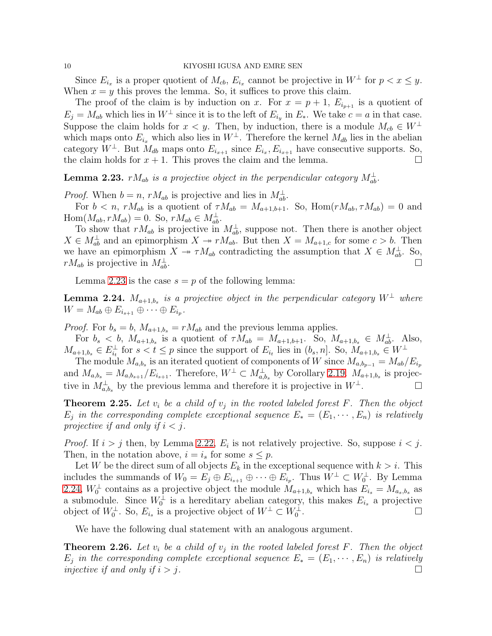Since  $E_{i_x}$  is a proper quotient of  $M_{cb}$ ,  $E_{i_x}$  cannot be projective in  $W^{\perp}$  for  $p < x \leq y$ . When  $x = y$  this proves the lemma. So, it suffices to prove this claim.

The proof of the claim is by induction on x. For  $x = p + 1$ ,  $E_{i_{p+1}}$  is a quotient of  $E_j = M_{ab}$  which lies in  $W^{\perp}$  since it is to the left of  $E_{i_y}$  in  $E_*$ . We take  $c = a$  in that case. Suppose the claim holds for  $x < y$ . Then, by induction, there is a module  $M_{cb} \in W^{\perp}$ which maps onto  $E_{i_x}$  which also lies in  $W^{\perp}$ . Therefore the kernel  $M_{db}$  lies in the abelian category  $W^{\perp}$ . But  $M_{db}$  maps onto  $E_{i_{x+1}}$  since  $E_{i_x}, E_{i_{x+1}}$  have consecutive supports. So, the claim holds for  $x + 1$ . This proves the claim and the lemma.

<span id="page-9-0"></span>**Lemma 2.23.**  $rM_{ab}$  is a projective object in the perpendicular category  $M_{ab}^{\perp}$ .

*Proof.* When  $b = n$ ,  $rM_{ab}$  is projective and lies in  $M_{ab}^{\perp}$ .

For  $b < n$ ,  $rM_{ab}$  is a quotient of  $\tau M_{ab} = M_{a+1,b+1}$ . So,  $\text{Hom}(rM_{ab}, \tau M_{ab}) = 0$  and  $\text{Hom}(M_{ab}, rM_{ab}) = 0.$  So,  $rM_{ab} \in M_{ab}^{\perp}$ .

To show that  $rM_{ab}$  is projective in  $M_{ab}^{\perp}$ , suppose not. Then there is another object  $X \in M_{ab}^{\perp}$  and an epimorphism  $X \to rM_{ab}$ . But then  $X = M_{a+1,c}$  for some  $c > b$ . Then we have an epimorphism  $X \to \tau M_{ab}$  contradicting the assumption that  $X \in M_{ab}^{\perp}$ . So,  $rM_{ab}$  is projective in  $M_{ab}^{\perp}$ .  $\frac{1}{ab}$ .

Lemma [2.23](#page-9-0) is the case  $s = p$  of the following lemma:

<span id="page-9-1"></span>**Lemma 2.24.**  $M_{a+1,b_s}$  is a projective object in the perpendicular category  $W^{\perp}$  where  $W = M_{ab} \oplus E_{i_{s+1}} \oplus \cdots \oplus E_{i_p}.$ 

*Proof.* For  $b_s = b$ ,  $M_{a+1,b_s} = r M_{ab}$  and the previous lemma applies.

For  $b_s < b$ ,  $M_{a+1,b_s}$  is a quotient of  $\tau M_{ab} = M_{a+1,b+1}$ . So,  $M_{a+1,b_s} \in M_{ab}^{\perp}$ . Also,  $M_{a+1,b_s} \in E_{i_t}^{\perp}$  $\sum_{i=1}^{\infty}$  for  $s < t \leq p$  since the support of  $E_{i_t}$  lies in  $(b_s, n]$ . So,  $M_{a+1,b_s} \in W^{\perp}$ 

The module  $M_{a,b_s}$  is an iterated quotient of components of W since  $M_{a,b_{p-1}} = M_{ab}/E_{i_p}$ and  $M_{a,b_s} = M_{a,b_{s+1}}/E_{i_{s+1}}$ . Therefore,  $W^{\perp} \subset M_{a,b_s}^{\perp}$  by Corollary [2.19.](#page-8-2)  $M_{a+1,b_s}$  is projective in  $M_{a,b_s}^{\perp}$  by the previous lemma and therefore it is projective in  $W^{\perp}$ .

<span id="page-9-2"></span>**Theorem 2.25.** Let  $v_i$  be a child of  $v_j$  in the rooted labeled forest  $F$ . Then the object  $E_j$  in the corresponding complete exceptional sequence  $E_* = (E_1, \cdots, E_n)$  is relatively *projective if and only if*  $i < j$ *.* 

*Proof.* If  $i > j$  then, by Lemma [2.22,](#page-8-3)  $E_i$  is not relatively projective. So, suppose  $i < j$ . Then, in the notation above,  $i = i_s$  for some  $s \leq p$ .

Let W be the direct sum of all objects  $E_k$  in the exceptional sequence with  $k > i$ . This includes the summands of  $W_0 = E_j \oplus E_{i_{s+1}} \oplus \cdots \oplus E_{i_p}$ . Thus  $W^{\perp} \subset W_0^{\perp}$ . By Lemma [2.24,](#page-9-1)  $W_0^{\perp}$  contains as a projective object the module  $M_{a+1,b_s}$  which has  $E_{i_s} = M_{a_s,b_s}$  as a submodule. Since  $W_0^{\perp}$  is a hereditary abelian category, this makes  $E_{i_s}$  a projective object of  $W_0^{\perp}$ . So,  $E_{i_s}$  is a projective object of  $W^{\perp} \subset W_0^{\perp}$ .

We have the following dual statement with an analogous argument.

<span id="page-9-3"></span>**Theorem 2.26.** Let  $v_i$  be a child of  $v_j$  in the rooted labeled forest F. Then the object  $E_j$  in the corresponding complete exceptional sequence  $E_* = (E_1, \cdots, E_n)$  is relatively *injective if and only if*  $i > j$ .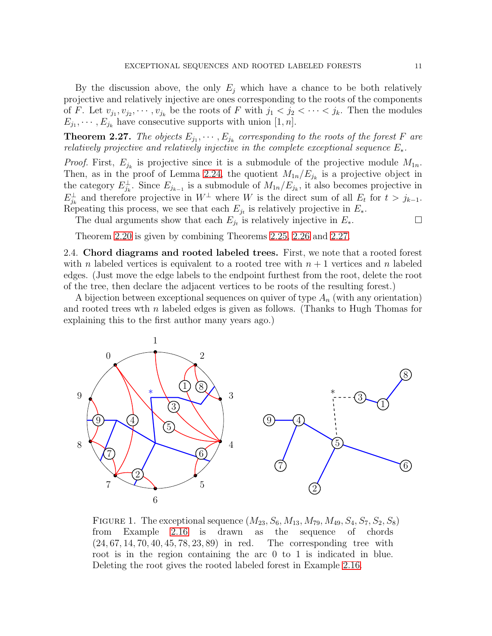By the discussion above, the only  $E_i$  which have a chance to be both relatively projective and relatively injective are ones corresponding to the roots of the components of F. Let  $v_{j_1}, v_{j_2}, \dots, v_{j_k}$  be the roots of F with  $j_1 < j_2 < \dots < j_k$ . Then the modules  $E_{j_1}, \cdots, E_{j_k}$  have consecutive supports with union [1, *n*].

<span id="page-10-2"></span>**Theorem 2.27.** The objects  $E_{j_1}, \dots, E_{j_k}$  corresponding to the roots of the forest F are *relatively projective and relatively injective in the complete exceptional sequence*  $E_{\ast}$ .

*Proof.* First,  $E_{j_k}$  is projective since it is a submodule of the projective module  $M_{1n}$ . Then, as in the proof of Lemma [2.24,](#page-9-1) the quotient  $M_{1n}/E_{j_k}$  is a projective object in the category  $E_{j_k}^{\perp}$ . Since  $E_{j_{k-1}}$  is a submodule of  $M_{1n}/E_{j_k}$ , it also becomes projective in  $E_{j_k}^{\perp}$  and therefore projective in  $W^{\perp}$  where W is the direct sum of all  $E_t$  for  $t > j_{k-1}$ . Repeating this process, we see that each  $E_{j_t}$  is relatively projective in  $E_*$ .

The dual arguments show that each  $E_{j_t}$  is relatively injective in  $E_*$ .

Theorem [2.20](#page-8-0) is given by combining Theorems [2.25,](#page-9-2) [2.26](#page-9-3) and [2.27.](#page-10-2)

<span id="page-10-0"></span>2.4. Chord diagrams and rooted labeled trees. First, we note that a rooted forest with n labeled vertices is equivalent to a rooted tree with  $n + 1$  vertices and n labeled edges. (Just move the edge labels to the endpoint furthest from the root, delete the root of the tree, then declare the adjacent vertices to be roots of the resulting forest.)

A bijection between exceptional sequences on quiver of type  $A_n$  (with any orientation) and rooted trees wth n labeled edges is given as follows. (Thanks to Hugh Thomas for explaining this to the first author many years ago.)



<span id="page-10-1"></span>FIGURE 1. The exceptional sequence  $(M_{23}, S_6, M_{13}, M_{79}, M_{49}, S_4, S_7, S_2, S_8)$ from Example [2.16](#page-7-1) is drawn as the sequence of chords (24, 67, 14, 70, 40, 45, 78, 23, 89) in red. The corresponding tree with root is in the region containing the arc 0 to 1 is indicated in blue. Deleting the root gives the rooted labeled forest in Example [2.16.](#page-7-1)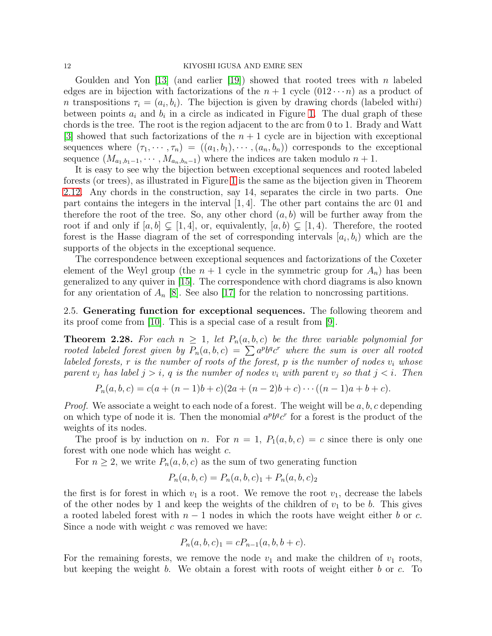#### 12 KIYOSHI IGUSA AND EMRE SEN

Goulden and Yon [\[13\]](#page-27-6) (and earlier [\[19\]](#page-27-7)) showed that rooted trees with n labeled edges are in bijection with factorizations of the  $n + 1$  cycle  $(012 \cdots n)$  as a product of *n* transpositions  $\tau_i = (a_i, b_i)$ . The bijection is given by drawing chords (labeled withi) between points  $a_i$  and  $b_i$  in a circle as indicated in Figure [1.](#page-10-1) The dual graph of these chords is the tree. The root is the region adjacent to the arc from 0 to 1. Brady and Watt [\[3\]](#page-26-0) showed that such factorizations of the  $n + 1$  cycle are in bijection with exceptional sequences where  $(\tau_1, \dots, \tau_n) = ((a_1, b_1), \dots, (a_n, b_n))$  corresponds to the exceptional sequence  $(M_{a_1,b_1-1},\cdots,M_{a_n,b_n-1})$  where the indices are taken modulo  $n+1$ .

It is easy to see why the bijection between exceptional sequences and rooted labeled forests (or trees), as illustrated in Figure [1](#page-10-1) is the same as the bijection given in Theorem [2.12.](#page-6-0) Any chords in the construction, say 14, separates the circle in two parts. One part contains the integers in the interval  $[1, 4]$ . The other part contains the arc 01 and therefore the root of the tree. So, any other chord  $(a, b)$  will be further away from the root if and only if  $[a, b] \subsetneq [1, 4]$ , or, equivalently,  $[a, b] \subsetneq [1, 4]$ . Therefore, the rooted forest is the Hasse diagram of the set of corresponding intervals  $[a_i, b_i]$  which are the supports of the objects in the exceptional sequence.

The correspondence between exceptional sequences and factorizations of the Coxeter element of the Weyl group (the  $n + 1$  cycle in the symmetric group for  $A_n$ ) has been generalized to any quiver in [\[15\]](#page-27-8). The correspondence with chord diagrams is also known for any orientation of  $A_n$  [\[8\]](#page-26-3). See also [\[17\]](#page-27-9) for the relation to noncrossing partitions.

2.5. Generating function for exceptional sequences. The following theorem and its proof come from [\[10\]](#page-26-1). This is a special case of a result from [\[9\]](#page-26-2).

<span id="page-11-0"></span>**Theorem 2.28.** For each  $n \geq 1$ , let  $P_n(a, b, c)$  be the three variable polynomial for rooted labeled forest given by  $P_n(a, b, c) = \sum a^p b^q c^r$  where the sum is over all rooted *labeled forests,* r *is the number of roots of the forest,* p *is the number of nodes*  $v_i$  *whose parent*  $v_j$  *has label*  $j > i$ ,  $q$  *is the number of nodes*  $v_i$  *with parent*  $v_j$  *so that*  $j < i$ *. Then* 

$$
P_n(a, b, c) = c(a + (n - 1)b + c)(2a + (n - 2)b + c) \cdots ((n - 1)a + b + c).
$$

*Proof.* We associate a weight to each node of a forest. The weight will be a, b, c depending on which type of node it is. Then the monomial  $a^p b^q c^r$  for a forest is the product of the weights of its nodes.

The proof is by induction on n. For  $n = 1$ ,  $P_1(a, b, c) = c$  since there is only one forest with one node which has weight c.

For  $n \geq 2$ , we write  $P_n(a, b, c)$  as the sum of two generating function

$$
P_n(a, b, c) = P_n(a, b, c)_1 + P_n(a, b, c)_2
$$

the first is for forest in which  $v_1$  is a root. We remove the root  $v_1$ , decrease the labels of the other nodes by 1 and keep the weights of the children of  $v_1$  to be b. This gives a rooted labeled forest with  $n-1$  nodes in which the roots have weight either b or c. Since a node with weight c was removed we have:

$$
P_n(a, b, c)_1 = cP_{n-1}(a, b, b+c).
$$

For the remaining forests, we remove the node  $v_1$  and make the children of  $v_1$  roots, but keeping the weight  $b$ . We obtain a forest with roots of weight either  $b$  or  $c$ . To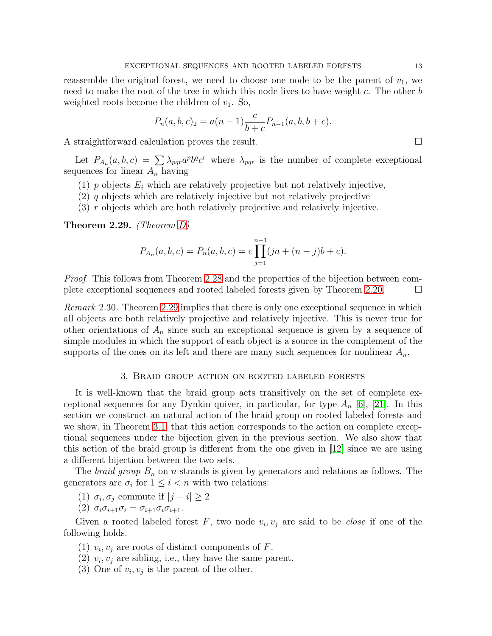reassemble the original forest, we need to choose one node to be the parent of  $v_1$ , we need to make the root of the tree in which this node lives to have weight  $c$ . The other  $b$ weighted roots become the children of  $v_1$ . So,

$$
P_n(a, b, c)_2 = a(n - 1)\frac{c}{b + c}P_{n-1}(a, b, b + c).
$$

A straightforward calculation proves the result.

Let  $P_{A_n}(a, b, c) = \sum_{p \mid q} \lambda_{pqr} a^p b^q c^r$  where  $\lambda_{pqr}$  is the number of complete exceptional sequences for linear  $A_n$  having

- (1) p objects  $E_i$  which are relatively projective but not relatively injective,
- (2) q objects which are relatively injective but not relatively projective
- (3) r objects which are both relatively projective and relatively injective.

<span id="page-12-1"></span>Theorem 2.29. *(Theorem [D\)](#page-1-0)*

$$
P_{A_n}(a, b, c) = P_n(a, b, c) = c \prod_{j=1}^{n-1} (ja + (n-j)b + c).
$$

*Proof.* This follows from Theorem [2.28](#page-11-0) and the properties of the bijection between complete exceptional sequences and rooted labeled forests given by Theorem [2.20.](#page-8-0)

<span id="page-12-2"></span>*Remark* 2.30*.* Theorem [2.29](#page-12-1) implies that there is only one exceptional sequence in which all objects are both relatively projective and relatively injective. This is never true for other orientations of  $A_n$  since such an exceptional sequence is given by a sequence of simple modules in which the support of each object is a source in the complement of the supports of the ones on its left and there are many such sequences for nonlinear  $A_n$ .

#### 3. Braid group action on rooted labeled forests

<span id="page-12-0"></span>It is well-known that the braid group acts transitively on the set of complete exceptional sequences for any Dynkin quiver, in particular, for type  $A_n$  [\[6\]](#page-26-4), [\[21\]](#page-27-10). In this section we construct an natural action of the braid group on rooted labeled forests and we show, in Theorem [3.1,](#page-13-0) that this action corresponds to the action on complete exceptional sequences under the bijection given in the previous section. We also show that this action of the braid group is different from the one given in [\[12\]](#page-27-5) since we are using a different bijection between the two sets.

The *braid group*  $B_n$  on *n* strands is given by generators and relations as follows. The generators are  $\sigma_i$  for  $1 \leq i < n$  with two relations:

- (1)  $\sigma_i, \sigma_j$  commute if  $|j i| \geq 2$
- (2)  $\sigma_i \sigma_{i+1} \sigma_i = \sigma_{i+1} \sigma_i \sigma_{i+1}$ .

Given a rooted labeled forest  $F$ , two node  $v_i, v_j$  are said to be *close* if one of the following holds.

- (1)  $v_i, v_j$  are roots of distinct components of F.
- (2)  $v_i, v_j$  are sibling, i.e., they have the same parent.
- (3) One of  $v_i, v_j$  is the parent of the other.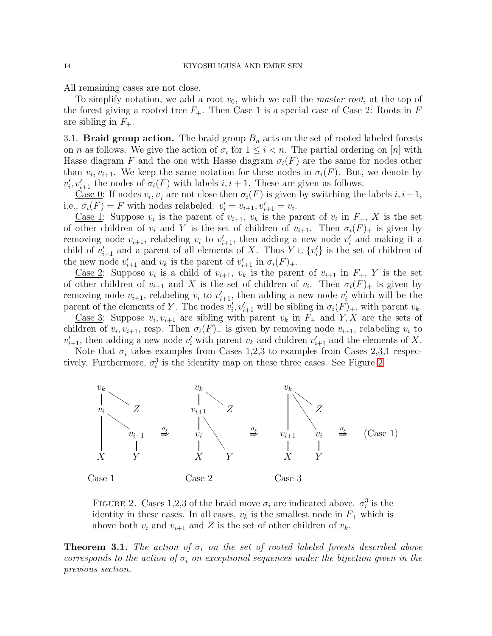All remaining cases are not close.

To simplify notation, we add a root  $v_0$ , which we call the *master root*, at the top of the forest giving a rooted tree  $F_+$ . Then Case 1 is a special case of Case 2: Roots in F are sibling in  $F_+$ .

<span id="page-13-2"></span>3.1. **Braid group action.** The braid group  $B_n$  acts on the set of rooted labeled forests on *n* as follows. We give the action of  $\sigma_i$  for  $1 \leq i \lt n$ . The partial ordering on [*n*] with Hasse diagram F and the one with Hasse diagram  $\sigma_i(F)$  are the same for nodes other than  $v_i, v_{i+1}$ . We keep the same notation for these nodes in  $\sigma_i(F)$ . But, we denote by  $v_i'$  $i, v'_{i+1}$  the nodes of  $\sigma_i(F)$  with labels  $i, i+1$ . These are given as follows.

<u>Case 0</u>: If nodes  $v_i, v_j$  are not close then  $\sigma_i(F)$  is given by switching the labels  $i, i+1$ , i.e.,  $\sigma_i(F) = F$  with nodes relabeled:  $v'_i = v_{i+1}, v'_{i+1} = v_i$ .

<u>Case 1</u>: Suppose  $v_i$  is the parent of  $v_{i+1}$ ,  $v_k$  is the parent of  $v_i$  in  $F_+$ , X is the set of other children of  $v_i$  and Y is the set of children of  $v_{i+1}$ . Then  $\sigma_i(F)_+$  is given by removing node  $v_{i+1}$ , relabeling  $v_i$  to  $v'_{i+1}$ , then adding a new node  $v'_i$  $i$  and making it a child of  $v'_{i+1}$  and a parent of all elements of X. Thus  $Y \cup \{v'_{i}\}$  $'_{i}$  is the set of children of the new node  $v'_{i+1}$  and  $v_k$  is the parent of  $v'_{i+1}$  in  $\sigma_i(F)_+$ .

<u>Case 2</u>: Suppose  $v_i$  is a child of  $v_{i+1}$ ,  $v_k$  is the parent of  $v_{i+1}$  in  $F_+$ , Y is the set of other children of  $v_{i+1}$  and X is the set of children of  $v_i$ . Then  $\sigma_i(F)$  is given by removing node  $v_{i+1}$ , relabeling  $v_i$  to  $v'_{i+1}$ , then adding a new node  $v'_i$  which will be the parent of the elements of Y. The nodes  $v_i'$  $i, v'_{i+1}$  will be sibling in  $\sigma_i(\tilde{F})_+$ , with parent  $v_k$ .

<u>Case 3</u>: Suppose  $v_i, v_{i+1}$  are sibling with parent  $v_k$  in  $F_+$  and  $Y, X$  are the sets of children of  $v_i, v_{i+1}$ , resp. Then  $\sigma_i(F)_+$  is given by removing node  $v_{i+1}$ , relabeling  $v_i$  to  $v'_{i+1}$ , then adding a new node  $v'_i$  with parent  $v_k$  and children  $v'_{i+1}$  and the elements of X.

Note that  $\sigma_i$  takes examples from Cases 1,2,3 to examples from Cases 2,3,1 respectively. Furthermore,  $\sigma_i^3$  is the identity map on these three cases. See Figure [2](#page-13-1)



<span id="page-13-1"></span>FIGURE 2. Cases 1,2,3 of the braid move  $\sigma_i$  are indicated above.  $\sigma_i^3$  is the identity in these cases. In all cases,  $v_k$  is the smallest node in  $F_+$  which is above both  $v_i$  and  $v_{i+1}$  and Z is the set of other children of  $v_k$ .

<span id="page-13-0"></span>**Theorem 3.1.** *The action of*  $\sigma_i$  *on the set of rooted labeled forests described above corresponds to the action of*  $\sigma_i$  *on exceptional sequences under the bijection given in the previous section.*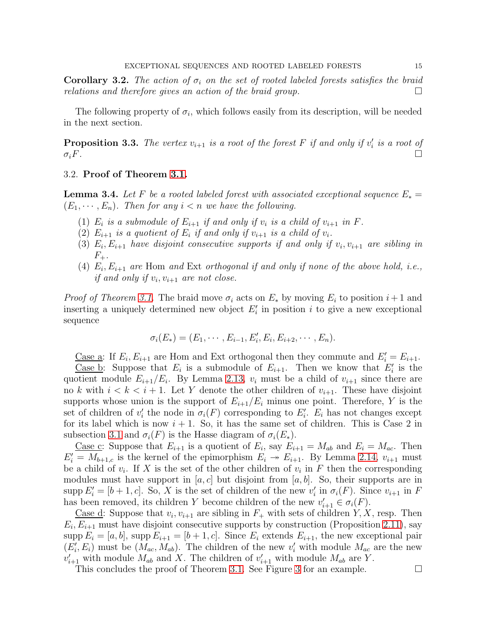**Corollary 3.2.** The action of  $\sigma_i$  on the set of rooted labeled forests satisfies the braid *relations and therefore gives an action of the braid group.*

The following property of  $\sigma_i$ , which follows easily from its description, will be needed in the next section.

<span id="page-14-0"></span>**Proposition 3.3.** The vertex  $v_{i+1}$  is a root of the forest F if and only if  $v_i'$ i *is a root of*  $\sigma_i F$ .

## 3.2. Proof of Theorem [3.1.](#page-13-0)

**Lemma 3.4.** Let F be a rooted labeled forest with associated exceptional sequence  $E_* =$  $(E_1, \dots, E_n)$ . Then for any  $i < n$  we have the following.

- (1)  $E_i$  is a submodule of  $E_{i+1}$  if and only if  $v_i$  is a child of  $v_{i+1}$  in  $F$ .
- (2)  $E_{i+1}$  *is a quotient of*  $E_i$  *if and only if*  $v_{i+1}$  *is a child of*  $v_i$ *.*
- (3)  $E_i, E_{i+1}$  *have disjoint consecutive supports if and only if*  $v_i, v_{i+1}$  *are sibling in*  $F_+$ .
- (4)  $E_i, E_{i+1}$  are Hom and Ext orthogonal if and only if none of the above hold, i.e., *if and only if*  $v_i$ ,  $v_{i+1}$  *are not close.*

*Proof of Theorem [3.1.](#page-13-0)* The braid move  $\sigma_i$  acts on  $E_*$  by moving  $E_i$  to position  $i+1$  and inserting a uniquely determined new object  $E'_i$  in position i to give a new exceptional sequence

$$
\sigma_i(E_*) = (E_1, \cdots, E_{i-1}, E'_i, E_i, E_{i+2}, \cdots, E_n).
$$

Case a: If  $E_i, E_{i+1}$  are Hom and Ext orthogonal then they commute and  $E'_i = E_{i+1}$ .

Case b: Suppose that  $E_i$  is a submodule of  $E_{i+1}$ . Then we know that  $E'_i$  is the quotient module  $E_{i+1}/E_i$ . By Lemma [2.13,](#page-6-1)  $v_i$  must be a child of  $v_{i+1}$  since there are no k with  $i < k < i + 1$ . Let Y denote the other children of  $v_{i+1}$ . These have disjoint supports whose union is the support of  $E_{i+1}/E_i$  minus one point. Therefore, Y is the set of children of  $v_i'$ the node in  $\sigma_i(F)$  corresponding to  $E'_i$ .  $E_i$  has not changes except for its label which is now  $i + 1$ . So, it has the same set of children. This is Case 2 in subsection [3.1](#page-13-2) and  $\sigma_i(F)$  is the Hasse diagram of  $\sigma_i(E_*)$ .

<u>Case c</u>: Suppose that  $E_{i+1}$  is a quotient of  $E_i$ , say  $E_{i+1} = M_{ab}$  and  $E_i = M_{ac}$ . Then  $E'_{i} = M_{b+1,c}$  is the kernel of the epimorphism  $E_{i} \rightarrow E_{i+1}$ . By Lemma [2.14,](#page-6-3)  $v_{i+1}$  must be a child of  $v_i$ . If X is the set of the other children of  $v_i$  in F then the corresponding modules must have support in  $[a, c]$  but disjoint from  $[a, b]$ . So, their supports are in supp  $E'_i = [b+1, c]$ . So, X is the set of children of the new  $v'_i$  $i$  in  $\sigma_i(F)$ . Since  $v_{i+1}$  in F has been removed, its children Y become children of the new  $v'_{i+1} \in \sigma_i(F)$ .

Case d: Suppose that  $v_i, v_{i+1}$  are sibling in  $F_+$  with sets of children Y, X, resp. Then  $E_i, E_{i+1}$  must have disjoint consecutive supports by construction (Proposition [2.11\)](#page-6-2), say supp  $E_i = [a, b]$ , supp  $E_{i+1} = [b+1, c]$ . Since  $E_i$  extends  $E_{i+1}$ , the new exceptional pair  $(E_i^{\prime})$  $\hat{U}_i(E_i)$  must be  $(M_{ac}, M_{ab})$ . The children of the new  $v'_i$  with module  $M_{ac}$  are the new  $v'_{i+1}$  with module  $M_{ab}$  and X. The children of  $v'_{i+1}$  with module  $M_{ab}$  are Y.

This concludes the proof of Theorem [3.1.](#page-13-0) See Figure [3](#page-15-1) for an example.  $\Box$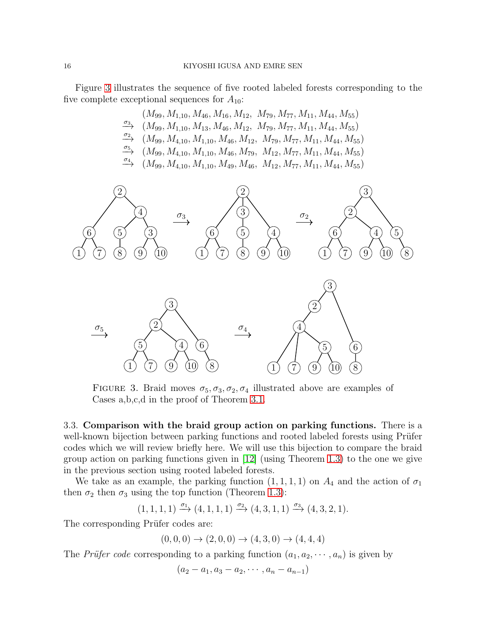Figure [3](#page-15-1) illustrates the sequence of five rooted labeled forests corresponding to the five complete exceptional sequences for  $A_{10}$ :



<span id="page-15-1"></span>FIGURE 3. Braid moves  $\sigma_5$ ,  $\sigma_3$ ,  $\sigma_2$ ,  $\sigma_4$  illustrated above are examples of Cases a,b,c,d in the proof of Theorem [3.1.](#page-13-0)

<span id="page-15-0"></span>3.3. Comparison with the braid group action on parking functions. There is a well-known bijection between parking functions and rooted labeled forests using Prüfer codes which we will review briefly here. We will use this bijection to compare the braid group action on parking functions given in [\[12\]](#page-27-5) (using Theorem [1.3\)](#page-2-1) to the one we give in the previous section using rooted labeled forests.

We take as an example, the parking function  $(1, 1, 1, 1)$  on  $A_4$  and the action of  $\sigma_1$ then  $\sigma_2$  then  $\sigma_3$  using the top function (Theorem [1.3\)](#page-2-1):

$$
(1, 1, 1, 1) \xrightarrow{\sigma_1} (4, 1, 1, 1) \xrightarrow{\sigma_2} (4, 3, 1, 1) \xrightarrow{\sigma_3} (4, 3, 2, 1).
$$

The corresponding Prüfer codes are:

$$
(0,0,0) \to (2,0,0) \to (4,3,0) \to (4,4,4)
$$

The *Prüfer code* corresponding to a parking function  $(a_1, a_2, \dots, a_n)$  is given by

$$
(a_2 - a_1, a_3 - a_2, \cdots, a_n - a_{n-1})
$$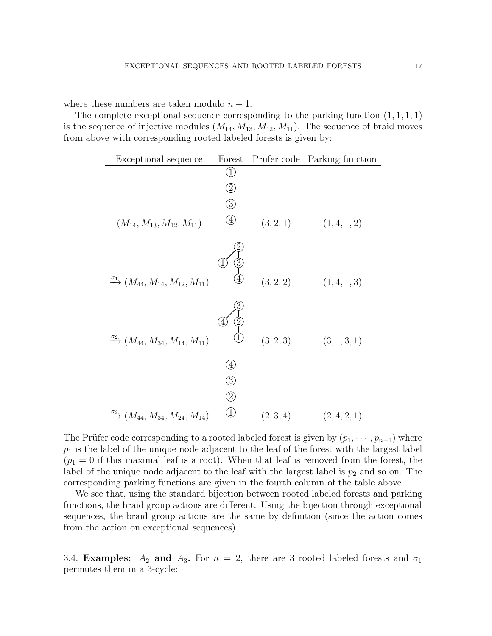where these numbers are taken modulo  $n + 1$ .

The complete exceptional sequence corresponding to the parking function  $(1, 1, 1, 1)$ is the sequence of injective modules  $(M_{14}, M_{13}, M_{12}, M_{11})$ . The sequence of braid moves from above with corresponding rooted labeled forests is given by:



The Prüfer code corresponding to a rooted labeled forest is given by  $(p_1, \dots, p_{n-1})$  where  $p_1$  is the label of the unique node adjacent to the leaf of the forest with the largest label  $(p_1 = 0$  if this maximal leaf is a root). When that leaf is removed from the forest, the label of the unique node adjacent to the leaf with the largest label is  $p_2$  and so on. The corresponding parking functions are given in the fourth column of the table above.

We see that, using the standard bijection between rooted labeled forests and parking functions, the braid group actions are different. Using the bijection through exceptional sequences, the braid group actions are the same by definition (since the action comes from the action on exceptional sequences).

3.4. Examples:  $A_2$  and  $A_3$ . For  $n = 2$ , there are 3 rooted labeled forests and  $\sigma_1$ permutes them in a 3-cycle: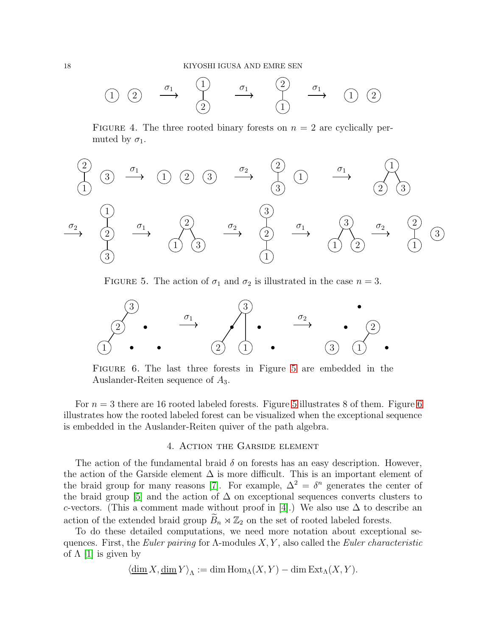

FIGURE 4. The three rooted binary forests on  $n = 2$  are cyclically permuted by  $\sigma_1$ .



<span id="page-17-1"></span>FIGURE 5. The action of  $\sigma_1$  and  $\sigma_2$  is illustrated in the case  $n = 3$ .



<span id="page-17-2"></span>Figure 6. The last three forests in Figure [5](#page-17-1) are embedded in the Auslander-Reiten sequence of A3.

For  $n = 3$  there are 16 rooted labeled forests. Figure [5](#page-17-1) illustrates 8 of them. Figure [6](#page-17-2) illustrates how the rooted labeled forest can be visualized when the exceptional sequence is embedded in the Auslander-Reiten quiver of the path algebra.

## 4. Action the Garside element

<span id="page-17-0"></span>The action of the fundamental braid  $\delta$  on forests has an easy description. However, the action of the Garside element  $\Delta$  is more difficult. This is an important element of the braid group for many reasons [\[7\]](#page-26-5). For example,  $\Delta^2 = \delta^n$  generates the center of the braid group [\[5\]](#page-26-6) and the action of  $\Delta$  on exceptional sequences converts clusters to c-vectors. (This a comment made without proof in [\[4\]](#page-26-7).) We also use  $\Delta$  to describe an action of the extended braid group  $B_n \rtimes \mathbb{Z}_2$  on the set of rooted labeled forests.

To do these detailed computations, we need more notation about exceptional sequences. First, the *Euler pairing* for Λ-modules X, Y , also called the *Euler characteristic* of  $\Lambda$  [\[1\]](#page-26-8) is given by

$$
\langle \underline{\dim} X, \underline{\dim} Y \rangle_{\Lambda} := \dim \operatorname{Hom}_{\Lambda}(X, Y) - \dim \operatorname{Ext}_{\Lambda}(X, Y).
$$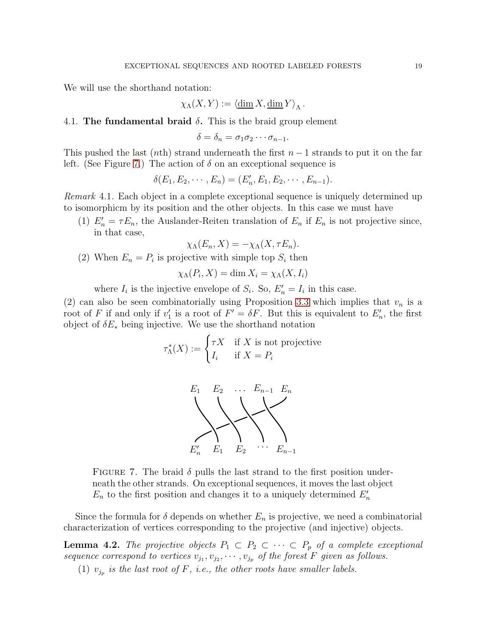We will use the shorthand notation:

$$
\chi_{\Lambda}(X,Y) := \langle \underline{\dim} X, \underline{\dim} Y \rangle_{\Lambda}.
$$

## 4.1. The fundamental braid  $\delta$ . This is the braid group element

$$
\delta = \delta_n = \sigma_1 \sigma_2 \cdots \sigma_{n-1}.
$$

This pushed the last (nth) strand underneath the first  $n-1$  strands to put it on the far left. (See Figure [7.](#page-18-0)) The action of  $\delta$  on an exceptional sequence is

$$
\delta(E_1, E_2, \cdots, E_n) = (E'_n, E_1, E_2, \cdots, E_{n-1}).
$$

<span id="page-18-2"></span>*Remark* 4.1*.* Each object in a complete exceptional sequence is uniquely determined up to isomorphicm by its position and the other objects. In this case we must have

(1)  $E'_n = \tau E_n$ , the Auslander-Reiten translation of  $E_n$  if  $E_n$  is not projective since, in that case,

$$
\chi_{\Lambda}(E_n, X) = -\chi_{\Lambda}(X, \tau E_n).
$$

(2) When  $E_n = P_i$  is projective with simple top  $S_i$  then

$$
\chi_{\Lambda}(P_i, X) = \dim X_i = \chi_{\Lambda}(X, I_i)
$$

where  $I_i$  is the injective envelope of  $S_i$ . So,  $E'_n = I_i$  in this case.

(2) can also be seen combinatorially using Proposition [3.3](#page-14-0) which implies that  $v_n$  is a root of F if and only if  $v_1'$ '' is a root of  $F' = \delta F$ . But this is equivalent to  $E'_r$  $n'$ , the first object of  $\delta E_*$  being injective. We use the shorthand notation

$$
\tau_{\Lambda}^*(X) := \begin{cases} \tau X & \text{if } X \text{ is not projective} \\ I_i & \text{if } X = P_i \end{cases}
$$



<span id="page-18-0"></span>FIGURE 7. The braid  $\delta$  pulls the last strand to the first position underneath the other strands. On exceptional sequences, it moves the last object  $E_n$  to the first position and changes it to a uniquely determined  $E'_n$ 

Since the formula for  $\delta$  depends on whether  $E_n$  is projective, we need a combinatorial characterization of vertices corresponding to the projective (and injective) objects.

<span id="page-18-1"></span>**Lemma 4.2.** *The projective objects*  $P_1 \subset P_2 \subset \cdots \subset P_p$  *of a complete exceptional* sequence correspond to vertices  $v_{j_1}, v_{j_2}, \cdots, v_{j_p}$  of the forest F given as follows.

(1)  $v_{j_p}$  is the last root of F, i.e., the other roots have smaller labels.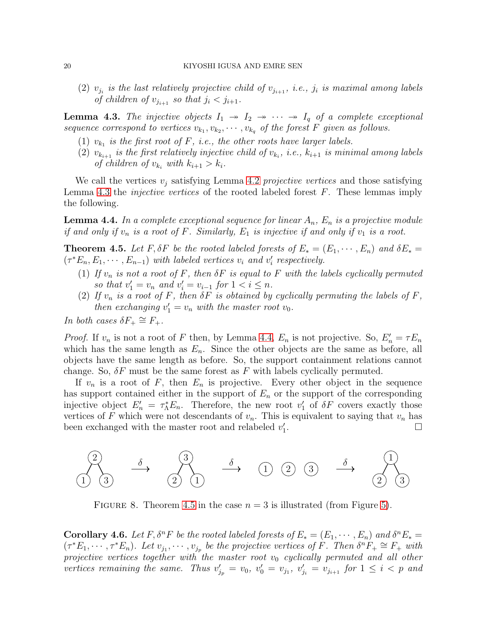(2)  $v_{j_i}$  is the last relatively projective child of  $v_{j_{i+1}}$ , *i.e.*,  $j_i$  is maximal among labels *of children of*  $v_{j_{i+1}}$  *so that*  $j_i < j_{i+1}$ *.* 

<span id="page-19-0"></span>**Lemma 4.3.** The injective objects  $I_1 \rightarrow I_2 \rightarrow \cdots \rightarrow I_q$  of a complete exceptional sequence correspond to vertices  $v_{k_1}, v_{k_2}, \cdots, v_{k_q}$  of the forest F given as follows.

- (1)  $v_{k_1}$  *is the first root of* F, *i.e., the other roots have larger labels.*
- $(2)$   $v_{k_{i+1}}$  *is the first relatively injective child of*  $v_{k_i}$ *, i.e.,*  $k_{i+1}$  *is minimal among labels of children of*  $v_{k_i}$  *with*  $k_{i+1} > k_i$ *.*

We call the vertices  $v_i$  satisfying Lemma [4.2](#page-18-1) *projective vertices* and those satisfying Lemma [4.3](#page-19-0) the *injective vertices* of the rooted labeled forest F. These lemmas imply the following.

<span id="page-19-1"></span>**Lemma 4.4.** In a complete exceptional sequence for linear  $A_n$ ,  $E_n$  is a projective module *if and only if*  $v_n$  *is a root of*  $F$ *. Similarly,*  $E_1$  *is injective if and only if*  $v_1$  *is a root.* 

<span id="page-19-2"></span>**Theorem 4.5.** Let F,  $\delta F$  be the rooted labeled forests of  $E_* = (E_1, \dots, E_n)$  and  $\delta E_* =$  $(\tau^*E_n, E_1, \cdots, E_{n-1})$  *with labeled vertices*  $v_i$  *and*  $v'_i$ i *respectively.*

- (1) If  $v_n$  is not a root of F, then  $\delta F$  is equal to F with the labels cyclically permuted *so that*  $v'_1 = v_n$  *and*  $v'_i = v_{i-1}$  *for*  $1 < i \leq n$ *.*
- (2) If  $v_n$  is a root of F, then  $\delta F$  is obtained by cyclically permuting the labels of F, *then exchanging*  $v'_1 = v_n$  *with the master root*  $v_0$ *.*

*In both cases*  $\delta F_+ \cong F_+$ *.* 

*Proof.* If  $v_n$  is not a root of F then, by Lemma [4.4,](#page-19-1)  $E_n$  is not projective. So,  $E'_n = \tau E_n$ which has the same length as  $E_n$ . Since the other objects are the same as before, all objects have the same length as before. So, the support containment relations cannot change. So,  $\delta F$  must be the same forest as F with labels cyclically permuted.

If  $v_n$  is a root of F, then  $E_n$  is projective. Every other object in the sequence has support contained either in the support of  $E_n$  or the support of the corresponding injective object  $E'_n = \tau_{\Lambda}^* E_n$ . Therefore, the new root  $v'_1$  of  $\delta F$  covers exactly those vertices of F which were not descendants of  $v_n$ . This is equivalent to saying that  $v_n$  has been exchanged with the master root and relabeled  $v_1'$ 1 .



FIGURE 8. Theorem [4.5](#page-19-2) in the case  $n = 3$  is illustrated (from Figure [5\)](#page-17-1).

<span id="page-19-3"></span>**Corollary 4.6.** Let F,  $\delta^n F$  be the rooted labeled forests of  $E_* = (E_1, \dots, E_n)$  and  $\delta^n E_* =$  $(\tau^*E_1, \dots, \tau^*E_n)$ . Let  $v_{j_1}, \dots, v_{j_p}$  be the projective vertices of  $\hat{F}$ . Then  $\delta^n F_+ \cong F_+$  with *projective vertices together with the master root*  $v_0$  *cyclically permuted and all other* vertices remaining the same. Thus  $v'_{j_p} = v_0$ ,  $v'_0 = v_{j_1}$ ,  $v'_{j_i} = v_{j_{i+1}}$  for  $1 \leq i < p$  and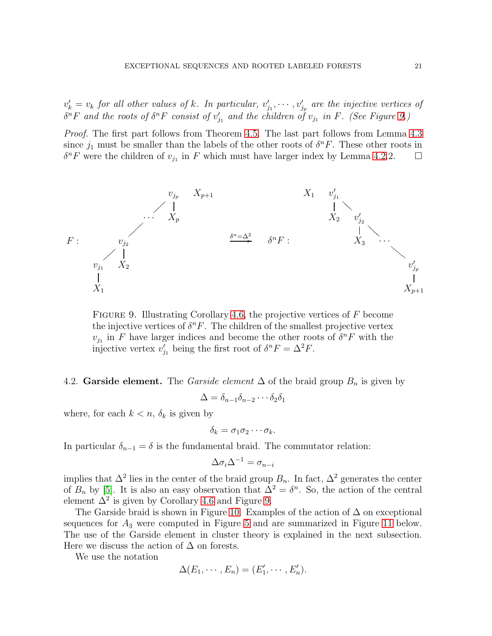$v'_{k} = v_{k}$  *for all other values of* k*. In particular,*  $v'_{j}$  $y'_{j_1}, \dots, y'_{j_p}$  are the injective vertices of  $\delta^n F$  and the roots of  $\delta^n F$  consist of  $v'_j$  $'_{j_1}$  and the children of  $v_{j_1}$  in F. (See Figure [9.](#page-20-0))

*Proof.* The first part follows from Theorem [4.5.](#page-19-2) The last part follows from Lemma [4.3](#page-19-0) since  $j_1$  must be smaller than the labels of the other roots of  $\delta^n F$ . These other roots in  $\delta^n F$  were the children of  $v_{j_1}$  in F which must have larger index by Lemma [4.2.](#page-18-1)2.  $\Box$ 



<span id="page-20-0"></span>FIGURE 9. Illustrating Corollary [4.6,](#page-19-3) the projective vertices of  $F$  become the injective vertices of  $\delta^n F$ . The children of the smallest projective vertex  $v_{j_1}$  in F have larger indices and become the other roots of  $\delta^n F$  with the injective vertex  $v'_i$  $'_{j_1}$  being the first root of  $\delta^n F = \Delta^2 F$ .

## 4.2. Garside element. The *Garside element*  $\Delta$  of the braid group  $B_n$  is given by

$$
\Delta = \delta_{n-1}\delta_{n-2}\cdots\delta_2\delta_1
$$

where, for each  $k < n$ ,  $\delta_k$  is given by

$$
\delta_k = \sigma_1 \sigma_2 \cdots \sigma_k.
$$

In particular  $\delta_{n-1} = \delta$  is the fundamental braid. The commutator relation:

$$
\Delta \sigma_i \Delta^{-1} = \sigma_{n-i}
$$

implies that  $\Delta^2$  lies in the center of the braid group  $B_n$ . In fact,  $\Delta^2$  generates the center of  $B_n$  by [\[5\]](#page-26-6). It is also an easy observation that  $\overline{\Delta}^2 = \delta^n$ . So, the action of the central element  $\Delta^2$  is given by Corollary [4.6](#page-19-3) and Figure [9.](#page-20-0)

The Garside braid is shown in Figure [10.](#page-21-0) Examples of the action of  $\Delta$  on exceptional sequences for  $A_3$  were computed in Figure [5](#page-17-1) and are summarized in Figure [11](#page-21-1) below. The use of the Garside element in cluster theory is explained in the next subsection. Here we discuss the action of  $\Delta$  on forests.

We use the notation

$$
\Delta(E_1,\cdots,E_n)=(E'_1,\cdots,E'_n).
$$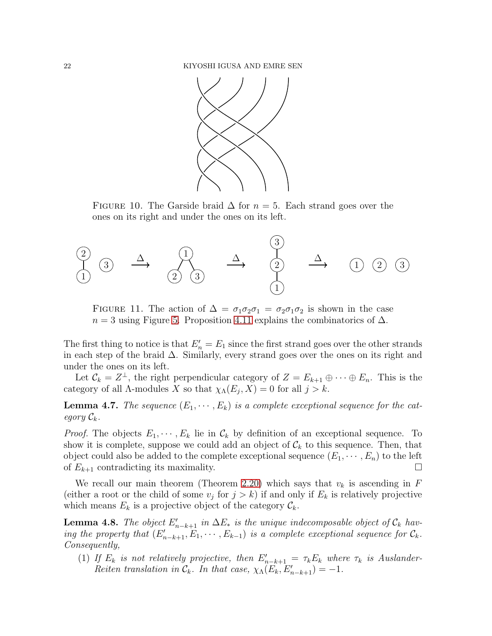

<span id="page-21-0"></span>FIGURE 10. The Garside braid  $\Delta$  for  $n = 5$ . Each strand goes over the ones on its right and under the ones on its left.



<span id="page-21-1"></span>FIGURE 11. The action of  $\Delta = \sigma_1 \sigma_2 \sigma_1 = \sigma_2 \sigma_1 \sigma_2$  is shown in the case  $n = 3$  using Figure [5.](#page-17-1) Proposition [4.11](#page-22-0) explains the combinatorics of  $\Delta$ .

The first thing to notice is that  $E'_{n} = E_1$  since the first strand goes over the other strands in each step of the braid ∆. Similarly, every strand goes over the ones on its right and under the ones on its left.

Let  $\mathcal{C}_k = Z^{\perp}$ , the right perpendicular category of  $Z = E_{k+1} \oplus \cdots \oplus E_n$ . This is the category of all  $\Lambda$ -modules X so that  $\chi_{\Lambda}(E_j, X) = 0$  for all  $j > k$ .

**Lemma 4.7.** The sequence  $(E_1, \dots, E_k)$  is a complete exceptional sequence for the cat*egory*  $\mathcal{C}_k$ *.* 

*Proof.* The objects  $E_1, \dots, E_k$  lie in  $\mathcal{C}_k$  by definition of an exceptional sequence. To show it is complete, suppose we could add an object of  $\mathcal{C}_k$  to this sequence. Then, that object could also be added to the complete exceptional sequence  $(E_1, \dots, E_n)$  to the left of  $E_{k+1}$  contradicting its maximality.

We recall our main theorem (Theorem [2.20\)](#page-8-0) which says that  $v_k$  is ascending in F (either a root or the child of some  $v_j$  for  $j > k$ ) if and only if  $E_k$  is relatively projective which means  $E_k$  is a projective object of the category  $\mathcal{C}_k$ .

<span id="page-21-2"></span>**Lemma 4.8.** The object  $E'_{n-k+1}$  in  $\Delta E_*$  is the unique indecomposable object of  $\mathcal{C}_k$  hav*ing the property that*  $(E'_{n-k+1}, E_1, \cdots, E_{k-1})$  *is a complete exceptional sequence for*  $C_k$ . *Consequently,*

(1) If  $E_k$  is not relatively projective, then  $E'_{n-k+1} = \tau_k E_k$  where  $\tau_k$  is Auslander-*Reiten translation in*  $\mathcal{C}_k$ *. In that case,*  $\chi_{\Lambda}(E_k, E'_{n-k+1}) = -1$ *.*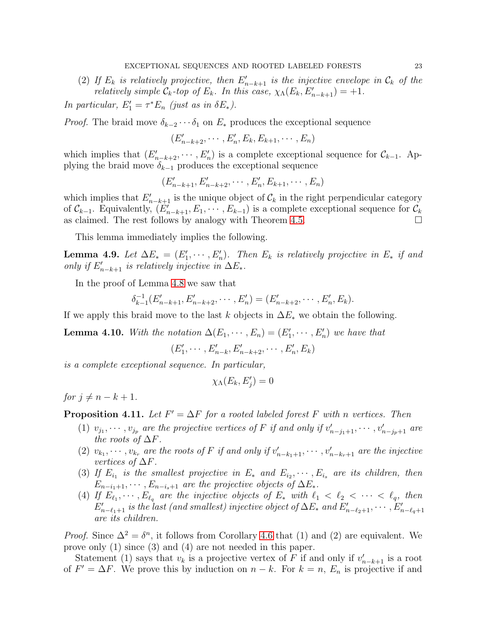(2) If  $E_k$  is relatively projective, then  $E'_{n-k+1}$  is the injective envelope in  $\mathcal{C}_k$  of the *relatively simple*  $\mathcal{C}_k$ -top of  $E_k$ . In this case,  $\chi_{\Lambda}(E_k, E'_{n-k+1}) = +1$ .

*In particular,*  $E'_1 = \tau^* E_n$  *(just as in*  $\delta E_*$ *).* 

*Proof.* The braid move  $\delta_{k-2} \cdots \delta_1$  on  $E_*$  produces the exceptional sequence

 $(E'_{n-k+2}, \cdots, E'_{n}, E_{k}, E_{k+1}, \cdots, E_{n})$ 

which implies that  $(E'_{n-k+2}, \cdots, E'_{n})$  is a complete exceptional sequence for  $\mathcal{C}_{k-1}$ . Applying the braid move  $\delta_{k-1}$  produces the exceptional sequence

$$
(E'_{n-k+1}, E'_{n-k+2}, \cdots, E'_{n}, E_{k+1}, \cdots, E_{n})
$$

which implies that  $E'_{n-k+1}$  is the unique object of  $\mathcal{C}_k$  in the right perpendicular category of  $\mathcal{C}_{k-1}$ . Equivalently,  $(E'_{n-k+1}, E_1, \cdots, E_{k-1})$  is a complete exceptional sequence for  $\mathcal{C}_k$ as claimed. The rest follows by analogy with Theorem [4.5.](#page-19-2)  $\Box$ 

This lemma immediately implies the following.

**Lemma 4.9.** Let  $\Delta E_* = (E'_1, \dots, E'_n)$ . Then  $E_k$  is relatively projective in  $E_*$  if and *only if*  $E'_{n-k+1}$  *is relatively injective in*  $\Delta E_*$ .

In the proof of Lemma [4.8](#page-21-2) we saw that

$$
\delta_{k-1}^{-1}(E'_{n-k+1}, E'_{n-k+2}, \cdots, E'_{n}) = (E'_{n-k+2}, \cdots, E'_{n}, E_{k}).
$$

If we apply this braid move to the last k objects in  $\Delta E_*$  we obtain the following.

<span id="page-22-1"></span>**Lemma 4.10.** *With the notation*  $\Delta(E_1, \dots, E_n) = (E'_1, \dots, E'_n)$  *we have that* 

 $(E_1^{\prime})$  $E'_{n-k}, E'_{n-k+2}, \cdots, E'_{n}, E'_{k}$ 

*is a complete exceptional sequence. In particular,*

$$
\chi_{\Lambda}(E_k, E_j') = 0
$$

*for*  $i \neq n - k + 1$ *.* 

<span id="page-22-0"></span>**Proposition 4.11.** Let  $F' = \Delta F$  for a rooted labeled forest F with n vertices. Then

- (1)  $v_{j_1}, \dots, v_{j_p}$  are the projective vertices of F if and only if  $v'_{n-j_1+1}, \dots, v'_{n-j_p+1}$  are *the roots of*  $\Delta F$ *.*
- (2)  $v_{k_1}, \dots, v_{k_r}$  are the roots of F if and only if  $v'_{n-k_1+1}, \dots, v'_{n-k_r+1}$  are the injective *vertices of*  $\Delta F$ *.*
- (3) If  $E_{i_1}$  is the smallest projective in  $E_*$  and  $E_{i_2}, \cdots, E_{i_s}$  are its children, then  $E_{n-i_1+1}, \cdots, E_{n-i_s+1}$  *are the projective objects of*  $\Delta E_*$ .
- (4) If  $E_{\ell_1}, \dots, E_{\ell_q}$  are the injective objects of  $E_*$  with  $\ell_1 < \ell_2 < \dots < \ell_q$ , then  $E'_{n-\ell_1+1}$  is the last (and smallest) injective object of  $\Delta E_*$  and  $E'_{n-\ell_2+1}, \cdots, E'_{n-\ell_q+1}$ *are its children.*

*Proof.* Since  $\Delta^2 = \delta^n$ , it follows from Corollary [4.6](#page-19-3) that (1) and (2) are equivalent. We prove only (1) since (3) and (4) are not needed in this paper.

Statement (1) says that  $v_k$  is a projective vertex of F if and only if  $v'_{n-k+1}$  is a root of  $F' = \Delta F$ . We prove this by induction on  $n - k$ . For  $k = n$ ,  $E_n$  is projective if and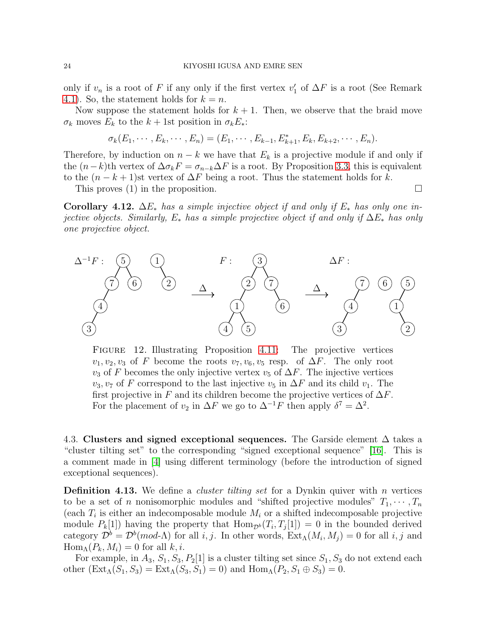only if  $v_n$  is a root of F if any only if the first vertex  $v'_1$  $'_{1}$  of  $\Delta F$  is a root (See Remark [4.1\)](#page-18-2). So, the statement holds for  $k = n$ .

Now suppose the statement holds for  $k + 1$ . Then, we observe that the braid move  $\sigma_k$  moves  $E_k$  to the  $k + 1$ st position in  $\sigma_k E_*$ :

$$
\sigma_k(E_1,\dots,E_k,\dots,E_n)=(E_1,\dots,E_{k-1},E_{k+1}^*,E_k,E_{k+2},\dots,E_n).
$$

Therefore, by induction on  $n - k$  we have that  $E_k$  is a projective module if and only if the  $(n-k)$ th vertex of  $\Delta \sigma_k F = \sigma_{n-k} \Delta F$  is a root. By Proposition [3.3,](#page-14-0) this is equivalent to the  $(n - k + 1)$ st vertex of  $\Delta F$  being a root. Thus the statement holds for k.

This proves (1) in the proposition.  $\square$ 

Corollary 4.12. ∆E<sup>∗</sup> *has a simple injective object if and only if* E<sup>∗</sup> *has only one injective objects. Similarly,* E<sup>∗</sup> *has a simple projective object if and only if* ∆E<sup>∗</sup> *has only one projective object.*



<span id="page-23-0"></span>Figure 12. Illustrating Proposition [4.11:](#page-22-0) The projective vertices  $v_1, v_2, v_3$  of F become the roots  $v_7, v_6, v_5$  resp. of  $\Delta F$ . The only root  $v_3$  of F becomes the only injective vertex  $v_5$  of  $\Delta F$ . The injective vertices  $v_3, v_7$  of F correspond to the last injective  $v_5$  in  $\Delta F$  and its child  $v_1$ . The first projective in F and its children become the projective vertices of  $\Delta F$ . For the placement of  $v_2$  in  $\Delta F$  we go to  $\Delta^{-1}F$  then apply  $\delta^7 = \Delta^2$ .

4.3. Clusters and signed exceptional sequences. The Garside element  $\Delta$  takes a "cluster tilting set" to the corresponding "signed exceptional sequence" [\[16\]](#page-27-11). This is a comment made in [\[4\]](#page-26-7) using different terminology (before the introduction of signed exceptional sequences).

**Definition 4.13.** We define a *cluster tilting set* for a Dynkin quiver with  $n$  vertices to be a set of *n* nonisomorphic modules and "shifted projective modules"  $T_1, \dots, T_n$ (each  $T_i$  is either an indecomposable module  $M_i$  or a shifted indecomposable projective module  $P_k[1]$  having the property that  $\text{Hom}_{\mathcal{D}^b}(T_i,T_j[1])=0$  in the bounded derived category  $\mathcal{D}^b = \mathcal{D}^b (mod-\Lambda)$  for all i, j. In other words,  $\text{Ext}_{\Lambda}(M_i, M_j) = 0$  for all i, j and  $\text{Hom}_{\Lambda}(P_k, M_i) = 0$  for all  $k, i$ .

For example, in  $A_3$ ,  $S_1$ ,  $S_3$ ,  $P_2[1]$  is a cluster tilting set since  $S_1$ ,  $S_3$  do not extend each other  $(\text{Ext}_{\Lambda}(S_1, S_3) = \text{Ext}_{\Lambda}(S_3, S_1) = 0)$  and  $\text{Hom}_{\Lambda}(P_2, S_1 \oplus S_3) = 0$ .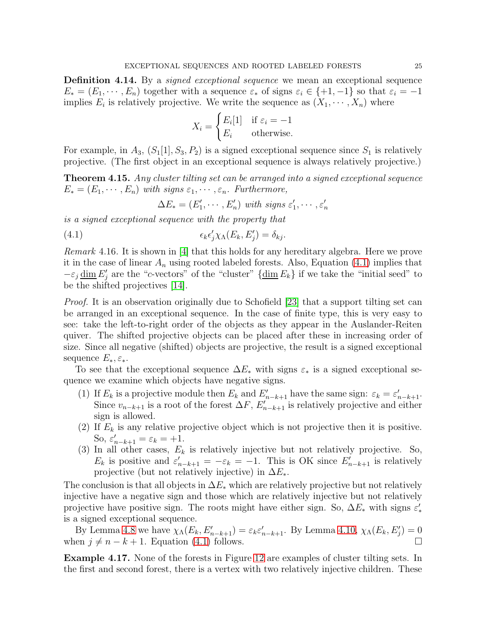Definition 4.14. By a *signed exceptional sequence* we mean an exceptional sequence  $E_* = (E_1, \dots, E_n)$  together with a sequence  $\varepsilon_*$  of signs  $\varepsilon_i \in \{+1, -1\}$  so that  $\varepsilon_i = -1$ implies  $E_i$  is relatively projective. We write the sequence as  $(X_1, \dots, X_n)$  where

$$
X_i = \begin{cases} E_i[1] & \text{if } \varepsilon_i = -1 \\ E_i & \text{otherwise.} \end{cases}
$$

For example, in  $A_3$ ,  $(S_1[1], S_3, P_2)$  is a signed exceptional sequence since  $S_1$  is relatively projective. (The first object in an exceptional sequence is always relatively projective.)

<span id="page-24-0"></span>Theorem 4.15. *Any cluster tilting set can be arranged into a signed exceptional sequence*  $E_* = (E_1, \dots, E_n)$  *with signs*  $\varepsilon_1, \dots, \varepsilon_n$ . Furthermore,

<span id="page-24-1"></span>
$$
\Delta E_* = (E'_1, \cdots, E'_n) \text{ with signs } \varepsilon'_1, \cdots, \varepsilon'_n
$$

*is a signed exceptional sequence with the property that*

 $(4.1)$  $'_{j}\chi_{\Lambda}(E_{k}, E'_{j}) = \delta_{kj}.$ 

*Remark* 4.16*.* It is shown in [\[4\]](#page-26-7) that this holds for any hereditary algebra. Here we prove it in the case of linear  $A_n$  using rooted labeled forests. Also, Equation [\(4.1\)](#page-24-1) implies that  $-\varepsilon_j \underline{\dim} E'_j$  are the "c-vectors" of the "cluster"  $\{\underline{\dim} E_k\}$  if we take the "initial seed" to be the shifted projectives [\[14\]](#page-27-12).

*Proof.* It is an observation originally due to Schofield [\[23\]](#page-27-13) that a support tilting set can be arranged in an exceptional sequence. In the case of finite type, this is very easy to see: take the left-to-right order of the objects as they appear in the Auslander-Reiten quiver. The shifted projective objects can be placed after these in increasing order of size. Since all negative (shifted) objects are projective, the result is a signed exceptional sequence  $E_*, \varepsilon_*$ .

To see that the exceptional sequence  $\Delta E_*$  with signs  $\varepsilon_*$  is a signed exceptional sequence we examine which objects have negative signs.

- (1) If  $E_k$  is a projective module then  $E_k$  and  $E'_{n-k+1}$  have the same sign:  $\varepsilon_k = \varepsilon'_{n-k+1}$ . Since  $v_{n-k+1}$  is a root of the forest  $\Delta F$ ,  $E'_{n-k+1}$  is relatively projective and either sign is allowed.
- (2) If  $E_k$  is any relative projective object which is not projective then it is positive. So,  $\varepsilon'_{n-k+1} = \varepsilon_k = +1$ .
- (3) In all other cases,  $E_k$  is relatively injective but not relatively projective. So,  $E_k$  is positive and  $\varepsilon'_{n-k+1} = -\varepsilon_k = -1$ . This is OK since  $E'_{n-k+1}$  is relatively projective (but not relatively injective) in  $\Delta E_*$ .

The conclusion is that all objects in  $\Delta E_*$  which are relatively projective but not relatively injective have a negative sign and those which are relatively injective but not relatively projective have positive sign. The roots might have either sign. So,  $\Delta E_*$  with signs  $\varepsilon'_*$ is a signed exceptional sequence.

By Lemma [4.8](#page-21-2) we have  $\chi_{\Lambda}(E_k, E'_{n-k+1}) = \varepsilon_k \varepsilon'_{n-k+1}$ . By Lemma [4.10,](#page-22-1)  $\chi_{\Lambda}(E_k, E'_j) = 0$ when  $j \neq n - k + 1$ . Equation [\(4.1\)](#page-24-1) follows.

Example 4.17. None of the forests in Figure [12](#page-23-0) are examples of cluster tilting sets. In the first and second forest, there is a vertex with two relatively injective children. These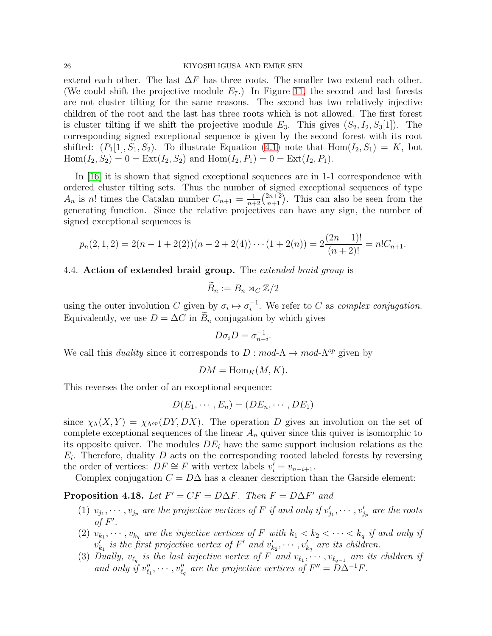#### 26 KIYOSHI IGUSA AND EMRE SEN

extend each other. The last  $\Delta F$  has three roots. The smaller two extend each other. (We could shift the projective module  $E_7$ .) In Figure [11,](#page-21-1) the second and last forests are not cluster tilting for the same reasons. The second has two relatively injective children of the root and the last has three roots which is not allowed. The first forest is cluster tilting if we shift the projective module  $E_3$ . This gives  $(S_2, I_2, S_3[1])$ . The corresponding signed exceptional sequence is given by the second forest with its root shifted:  $(P_1[1], S_1, S_2)$ . To illustrate Equation [\(4.1\)](#page-24-1) note that  $Hom(I_2, S_1) = K$ , but  $\text{Hom}(I_2, S_2) = 0 = \text{Ext}(I_2, S_2)$  and  $\text{Hom}(I_2, P_1) = 0 = \text{Ext}(I_2, P_1)$ .

In [\[16\]](#page-27-11) it is shown that signed exceptional sequences are in 1-1 correspondence with ordered cluster tilting sets. Thus the number of signed exceptional sequences of type  $A_n$  is n! times the Catalan number  $C_{n+1} = \frac{1}{n+2} {2n+2 \choose n+1}$ . This can also be seen from the generating function. Since the relative projectives can have any sign, the number of signed exceptional sequences is

$$
p_n(2,1,2) = 2(n-1+2(2))(n-2+2(4))\cdots(1+2(n)) = 2\frac{(2n+1)!}{(n+2)!} = n!C_{n+1}.
$$

### <span id="page-25-0"></span>4.4. Action of extended braid group. The *extended braid group* is

$$
B_n := B_n \rtimes_C \mathbb{Z}/2
$$

using the outer involution C given by  $\sigma_i \mapsto \sigma_i^{-1}$  $i^{-1}$ . We refer to C as *complex conjugation*. Equivalently, we use  $D = \Delta C$  in  $B_n$  conjugation by which gives

$$
D\sigma_i D = \sigma_{n-i}^{-1}.
$$

We call this *duality* since it corresponds to  $D : mod \Lambda \to mod \Lambda^{op}$  given by

$$
DM = \text{Hom}_K(M, K).
$$

This reverses the order of an exceptional sequence:

$$
D(E_1,\cdots,E_n)=(DE_n,\cdots,DE_1)
$$

since  $\chi_{\Lambda}(X, Y) = \chi_{\Lambda^{op}}(DY, DX)$ . The operation D gives an involution on the set of complete exceptional sequences of the linear  $A_n$  quiver since this quiver is isomorphic to its opposite quiver. The modules  $DE<sub>i</sub>$  have the same support inclusion relations as the  $E_i$ . Therefore, duality D acts on the corresponding rooted labeled forests by reversing the order of vertices:  $DF \cong F$  with vertex labels  $v'_{i} = v_{n-i+1}$ .

Complex conjugation  $C = D\Delta$  has a cleaner description than the Garside element:

**Proposition 4.18.** *Let*  $F' = CF = D\Delta F$ *. Then*  $F = D\Delta F'$  *and* 

- (1)  $v_{j_1}, \dots, v_{j_p}$  are the projective vertices of F if and only if  $v'_j$  $\cdots$ ,  $v_{j_p}$  are the projective vertices of F if and only if  $v'_{j_1}, \cdots, v'_{j_p}$  are the roots *of*  $F'$ .
- (2)  $v_{k_1}, \dots, v_{k_q}$  are the injective vertices of F with  $k_1 < k_2 < \dots < k_q$  if and only if  $v'_k$  $\mathcal{L}_{k_1}$  is the first projective vertex of  $F'$  and  $v'_k$  $v'_{k_2}, \cdots, v'_{k_q}$  are its children.
- (3) Dually,  $v_{\ell_q}$  is the last injective vertex of F and  $v_{\ell_1}, \cdots, v_{\ell_{q-1}}$  are its children if and only if  $v''_\ell$  $v''_{\ell_1}, \cdots, v''_{\ell_q}$  are the projective vertices of  $F'' = D\Delta^{-1}F$ .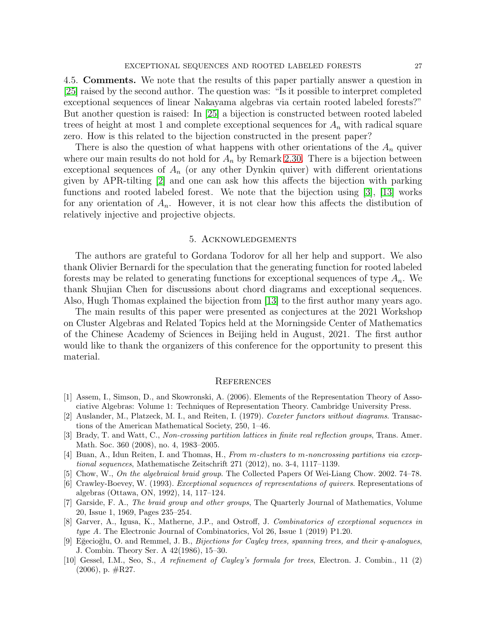4.5. Comments. We note that the results of this paper partially answer a question in [\[25\]](#page-27-14) raised by the second author. The question was: "Is it possible to interpret completed exceptional sequences of linear Nakayama algebras via certain rooted labeled forests?" But another question is raised: In [\[25\]](#page-27-14) a bijection is constructed between rooted labeled trees of height at most 1 and complete exceptional sequences for  $A_n$  with radical square zero. How is this related to the bijection constructed in the present paper?

There is also the question of what happens with other orientations of the  $A_n$  quiver where our main results do not hold for  $A_n$  by Remark [2.30.](#page-12-2) There is a bijection between exceptional sequences of  $A_n$  (or any other Dynkin quiver) with different orientations given by APR-tilting [\[2\]](#page-26-9) and one can ask how this affects the bijection with parking functions and rooted labeled forest. We note that the bijection using [\[3\]](#page-26-0), [\[13\]](#page-27-6) works for any orientation of  $A_n$ . However, it is not clear how this affects the distibution of relatively injective and projective objects.

#### 5. Acknowledgements

The authors are grateful to Gordana Todorov for all her help and support. We also thank Olivier Bernardi for the speculation that the generating function for rooted labeled forests may be related to generating functions for exceptional sequences of type  $A_n$ . We thank Shujian Chen for discussions about chord diagrams and exceptional sequences. Also, Hugh Thomas explained the bijection from [\[13\]](#page-27-6) to the first author many years ago.

The main results of this paper were presented as conjectures at the 2021 Workshop on Cluster Algebras and Related Topics held at the Morningside Center of Mathematics of the Chinese Academy of Sciences in Beijing held in August, 2021. The first author would like to thank the organizers of this conference for the opportunity to present this material.

#### **REFERENCES**

- <span id="page-26-8"></span>[1] Assem, I., Simson, D., and Skowronski, A. (2006). Elements of the Representation Theory of Associative Algebras: Volume 1: Techniques of Representation Theory. Cambridge University Press.
- <span id="page-26-9"></span>[2] Auslander, M., Platzeck, M. I., and Reiten, I. (1979). Coxeter functors without diagrams. Transactions of the American Mathematical Society, 250, 1–46.
- <span id="page-26-0"></span>[3] Brady, T. and Watt, C., Non-crossing partition lattices in finite real reflection groups, Trans. Amer. Math. Soc. 360 (2008), no. 4, 1983–2005.
- <span id="page-26-7"></span>[4] Buan, A., Idun Reiten, I. and Thomas, H., From m-clusters to m-noncrossing partitions via exceptional sequences, Mathematische Zeitschrift 271 (2012), no. 3-4, 1117–1139.
- <span id="page-26-6"></span><span id="page-26-4"></span>[5] Chow, W., On the algebraical braid group. The Collected Papers Of Wei-Liang Chow. 2002. 74–78.
- [6] Crawley-Boevey, W. (1993). Exceptional sequences of representations of quivers. Representations of algebras (Ottawa, ON, 1992), 14, 117–124.
- <span id="page-26-5"></span>[7] Garside, F. A., The braid group and other groups, The Quarterly Journal of Mathematics, Volume 20, Issue 1, 1969, Pages 235–254.
- <span id="page-26-3"></span>[8] Garver, A., Igusa, K., Matherne, J.P., and Ostroff, J. Combinatorics of exceptional sequences in type A. The Electronic Journal of Combinatorics, Vol 26, Issue 1 (2019) P1.20.
- <span id="page-26-2"></span>[9] Eğecioğlu, O. and Remmel, J. B., Bijections for Cayley trees, spanning trees, and their q-analogues, J. Combin. Theory Ser. A 42(1986), 15–30.
- <span id="page-26-1"></span>[10] Gessel, I.M., Seo, S., A refinement of Cayley's formula for trees, Electron. J. Combin., 11 (2)  $(2006)$ , p.  $\text{\#R27}.$